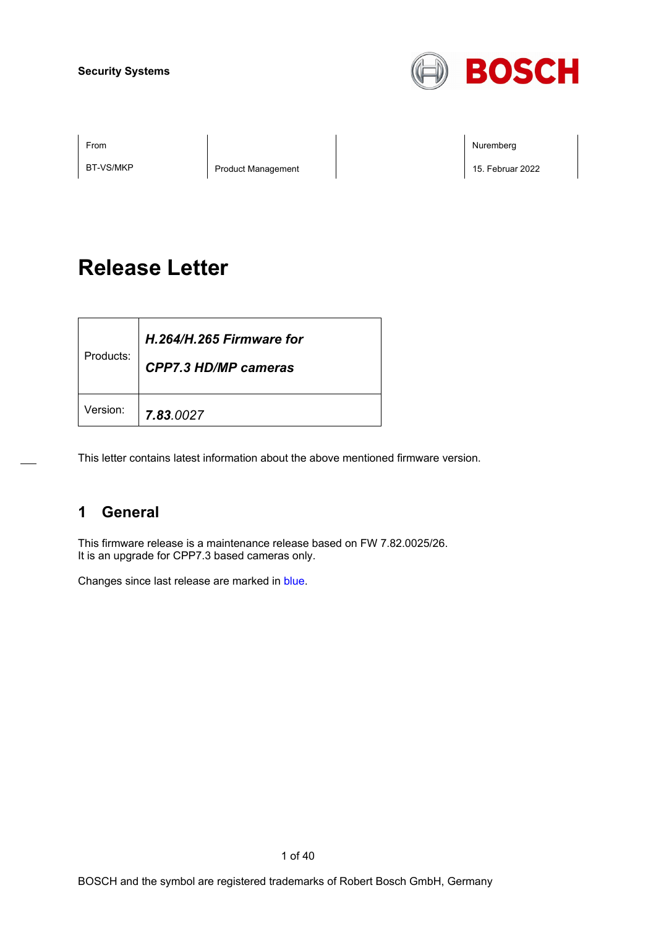

BT-VS/MKP Product Management 2022

From the second contract of the second contract of the second contract of the second contract of the second contract of the second contract of the second contract of the second contract of the second contract of the second

# **Release Letter**

| Products: | H.264/H.265 Firmware for<br><b>CPP7.3 HD/MP cameras</b> |
|-----------|---------------------------------------------------------|
| Version:  | 7.83.0027                                               |

This letter contains latest information about the above mentioned firmware version.

## **1 General**

This firmware release is a maintenance release based on FW 7.82.0025/26. It is an upgrade for CPP7.3 based cameras only.

Changes since last release are marked in blue.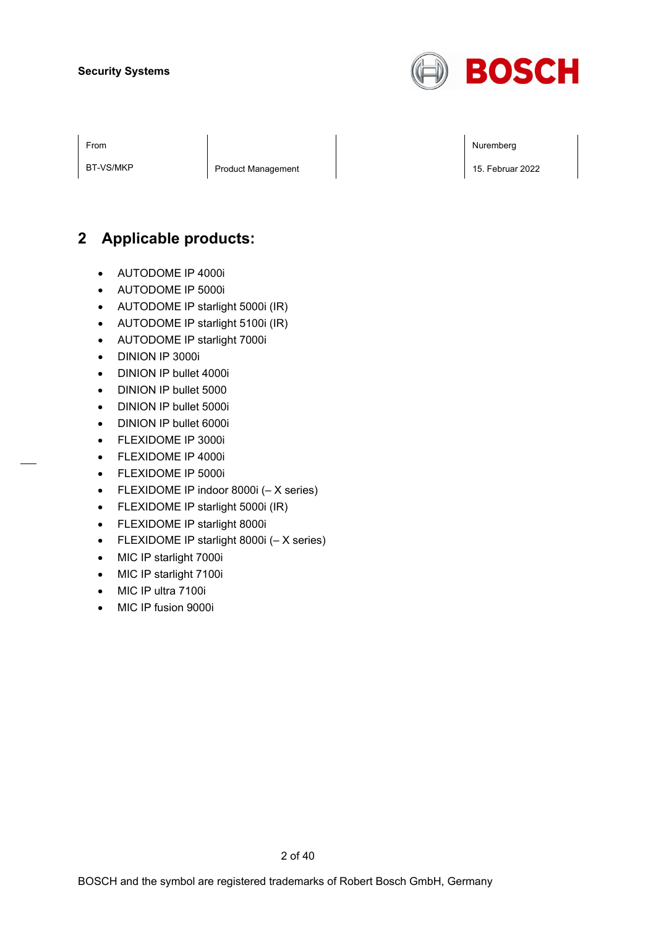

From the second contract of the second contract of the second contract of the second contract of the second contract of the second contract of the second contract of the second contract of the second contract of the second

BT-VS/MKP Product Management 2022

## **2 Applicable products:**

- AUTODOME IP 4000i
- AUTODOME IP 5000i
- AUTODOME IP starlight 5000i (IR)
- AUTODOME IP starlight 5100i (IR)
- AUTODOME IP starlight 7000i
- DINION IP 3000i
- DINION IP bullet 4000i
- DINION IP bullet 5000
- DINION IP bullet 5000i
- DINION IP bullet 6000i
- FLEXIDOME IP 3000i
- FLEXIDOME IP 4000i
- FLEXIDOME IP 5000i
- FLEXIDOME IP indoor 8000i (– X series)
- FLEXIDOME IP starlight 5000i (IR)
- FLEXIDOME IP starlight 8000i
- FLEXIDOME IP starlight 8000i (– X series)
- MIC IP starlight 7000i
- MIC IP starlight 7100i
- MIC IP ultra 7100i
- MIC IP fusion 9000i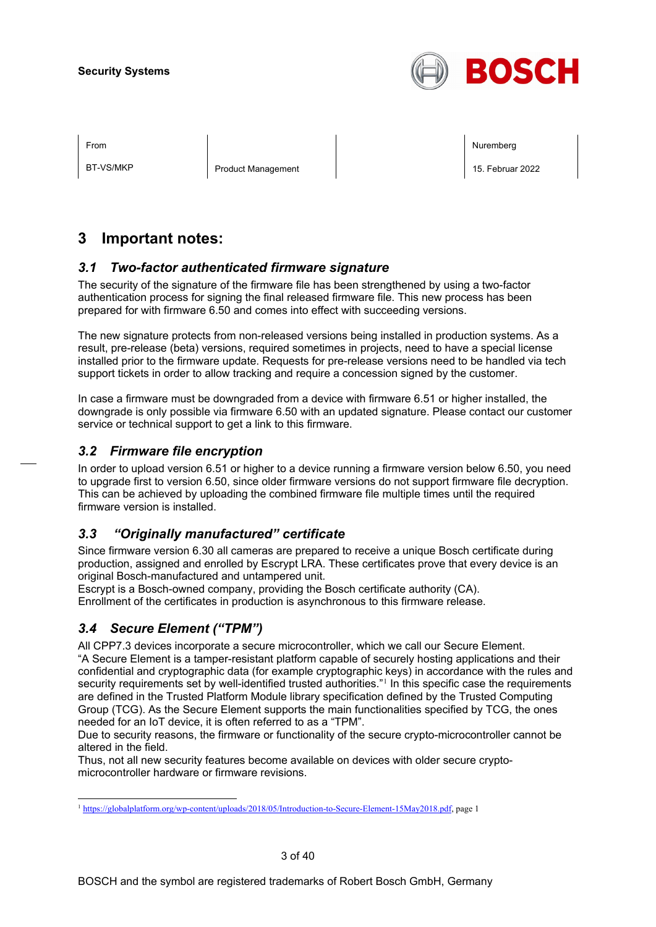

BT-VS/MKP Product Management 2022

From the second contract of the second contract of the second contract of the second contract of the second contract of the second contract of the second contract of the second contract of the second contract of the second

## **3 Important notes:**

### *3.1 Two-factor authenticated firmware signature*

The security of the signature of the firmware file has been strengthened by using a two-factor authentication process for signing the final released firmware file. This new process has been prepared for with firmware 6.50 and comes into effect with succeeding versions.

The new signature protects from non-released versions being installed in production systems. As a result, pre-release (beta) versions, required sometimes in projects, need to have a special license installed prior to the firmware update. Requests for pre-release versions need to be handled via tech support tickets in order to allow tracking and require a concession signed by the customer.

In case a firmware must be downgraded from a device with firmware 6.51 or higher installed, the downgrade is only possible via firmware 6.50 with an updated signature. Please contact our customer service or technical support to get a link to this firmware.

### *3.2 Firmware file encryption*

In order to upload version 6.51 or higher to a device running a firmware version below 6.50, you need to upgrade first to version 6.50, since older firmware versions do not support firmware file decryption. This can be achieved by uploading the combined firmware file multiple times until the required firmware version is installed.

### *3.3 "Originally manufactured" certificate*

Since firmware version 6.30 all cameras are prepared to receive a unique Bosch certificate during production, assigned and enrolled by Escrypt LRA. These certificates prove that every device is an original Bosch-manufactured and untampered unit.

Escrypt is a Bosch-owned company, providing the Bosch certificate authority (CA). Enrollment of the certificates in production is asynchronous to this firmware release.

### *3.4 Secure Element ("TPM")*

All CPP7.3 devices incorporate a secure microcontroller, which we call our Secure Element. "A Secure Element is a tamper-resistant platform capable of securely hosting applications and their confidential and cryptographic data (for example cryptographic keys) in accordance with the rules and security requirements set by well-identified trusted authorities."<sup>[1](#page-2-0)</sup> In this specific case the requirements are defined in the Trusted Platform Module library specification defined by the Trusted Computing Group (TCG). As the Secure Element supports the main functionalities specified by TCG, the ones needed for an IoT device, it is often referred to as a "TPM".

Due to security reasons, the firmware or functionality of the secure crypto-microcontroller cannot be altered in the field.

Thus, not all new security features become available on devices with older secure cryptomicrocontroller hardware or firmware revisions.

<span id="page-2-0"></span><sup>1</sup> [https://globalplatform.org/wp-content/uploads/2018/05/Introduction-to-Secure-Element-15May2018.pdf,](https://globalplatform.org/wp-content/uploads/2018/05/Introduction-to-Secure-Element-15May2018.pdf) page 1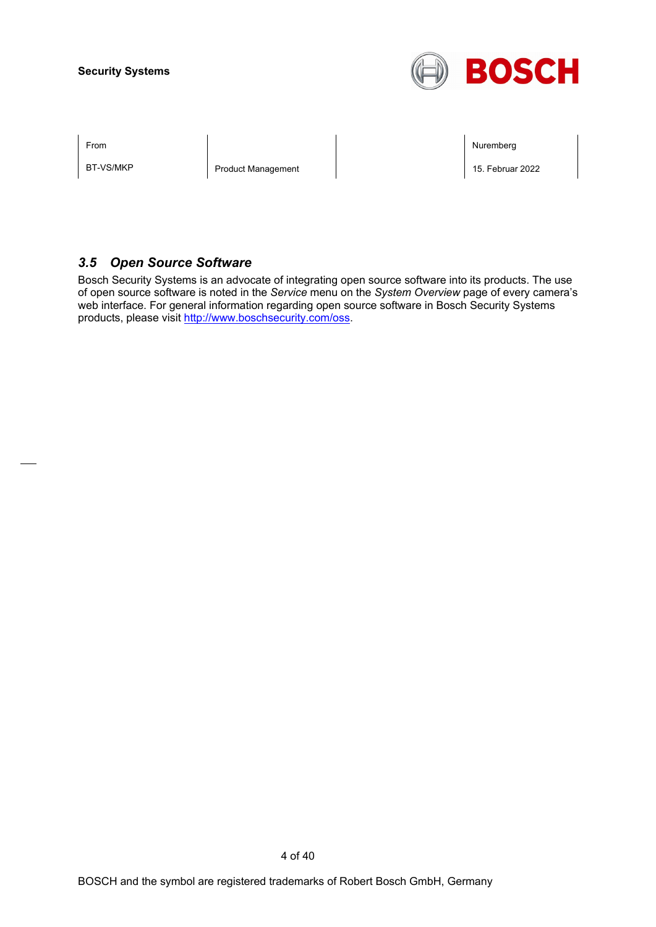

BT-VS/MKP Product Management 2022

From the second contract of the second contract of the second contract of the second contract of the second contract of the second contract of the second contract of the second contract of the second contract of the second

### *3.5 Open Source Software*

Bosch Security Systems is an advocate of integrating open source software into its products. The use of open source software is noted in the *Service* menu on the *System Overview* page of every camera's web interface. For general information regarding open source software in Bosch Security Systems products, please visit [http://www.boschsecurity.com/oss.](http://www.boschsecurity.com/oss)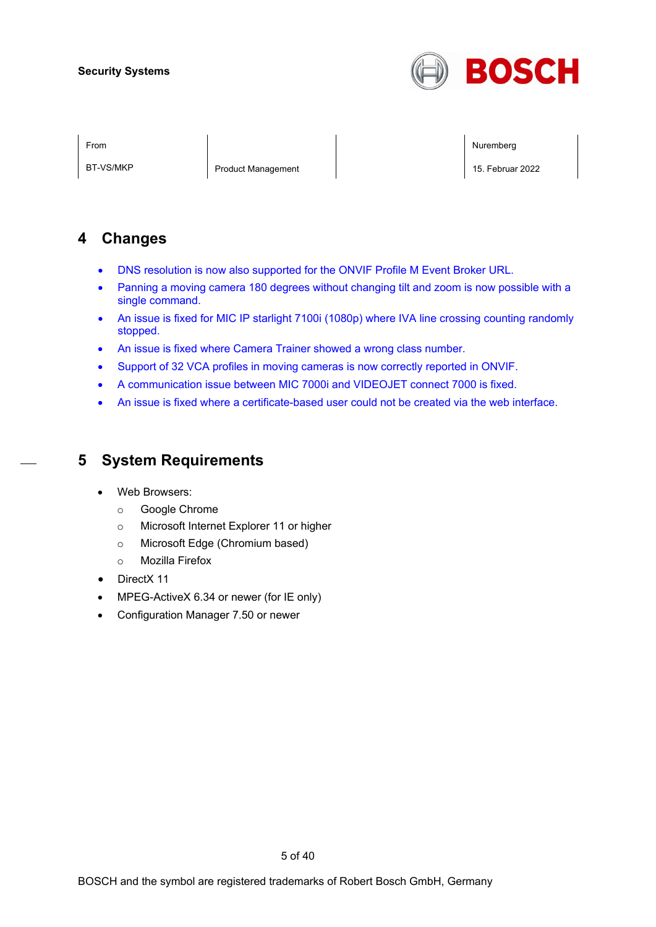

BT-VS/MKP Product Management 2022

From the second contract of the second contract of the second contract of the second contract of the second contract of the second contract of the second contract of the second contract of the second contract of the second

## **4 Changes**

- DNS resolution is now also supported for the ONVIF Profile M Event Broker URL.
- Panning a moving camera 180 degrees without changing tilt and zoom is now possible with a single command.
- An issue is fixed for MIC IP starlight 7100i (1080p) where IVA line crossing counting randomly stopped.
- An issue is fixed where Camera Trainer showed a wrong class number.
- Support of 32 VCA profiles in moving cameras is now correctly reported in ONVIF.
- A communication issue between MIC 7000i and VIDEOJET connect 7000 is fixed.
- An issue is fixed where a certificate-based user could not be created via the web interface.

## **5 System Requirements**

- Web Browsers:
	- o Google Chrome
	- o Microsoft Internet Explorer 11 or higher
	- o Microsoft Edge (Chromium based)
	- o Mozilla Firefox
- DirectX 11
- MPEG-ActiveX 6.34 or newer (for IE only)
- Configuration Manager 7.50 or newer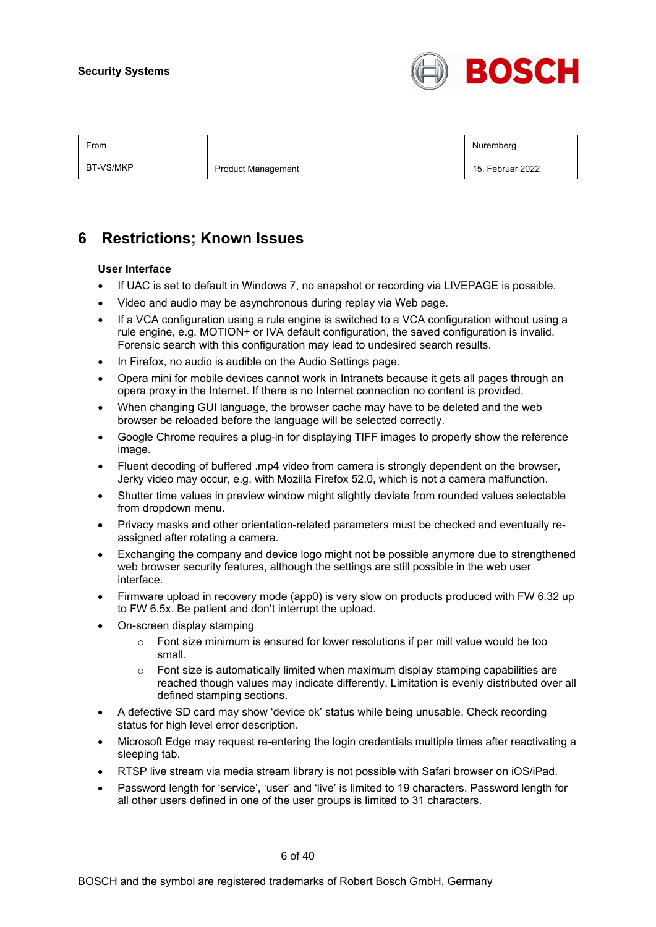

BT-VS/MKP Product Management 2022

From the second contract of the second contract of the second contract of the second contract of the second contract of the second contract of the second contract of the second contract of the second contract of the second

## **6 Restrictions; Known Issues**

#### **User Interface**

- If UAC is set to default in Windows 7, no snapshot or recording via LIVEPAGE is possible.
- Video and audio may be asynchronous during replay via Web page.
- If a VCA configuration using a rule engine is switched to a VCA configuration without using a rule engine, e.g. MOTION+ or IVA default configuration, the saved configuration is invalid. Forensic search with this configuration may lead to undesired search results.
- In Firefox, no audio is audible on the Audio Settings page.
- Opera mini for mobile devices cannot work in Intranets because it gets all pages through an opera proxy in the Internet. If there is no Internet connection no content is provided.
- When changing GUI language, the browser cache may have to be deleted and the web browser be reloaded before the language will be selected correctly.
- Google Chrome requires a plug-in for displaying TIFF images to properly show the reference image.
- Fluent decoding of buffered .mp4 video from camera is strongly dependent on the browser, Jerky video may occur, e.g. with Mozilla Firefox 52.0, which is not a camera malfunction.
- Shutter time values in preview window might slightly deviate from rounded values selectable from dropdown menu.
- Privacy masks and other orientation-related parameters must be checked and eventually reassigned after rotating a camera.
- Exchanging the company and device logo might not be possible anymore due to strengthened web browser security features, although the settings are still possible in the web user interface.
- Firmware upload in recovery mode (app0) is very slow on products produced with FW 6.32 up to FW 6.5x. Be patient and don't interrupt the upload.
- On-screen display stamping
	- $\circ$  Font size minimum is ensured for lower resolutions if per mill value would be too small.
	- $\circ$  Font size is automatically limited when maximum display stamping capabilities are reached though values may indicate differently. Limitation is evenly distributed over all defined stamping sections.
- A defective SD card may show 'device ok' status while being unusable. Check recording status for high level error description.
- Microsoft Edge may request re-entering the login credentials multiple times after reactivating a sleeping tab.
- RTSP live stream via media stream library is not possible with Safari browser on iOS/iPad.
- Password length for 'service', 'user' and 'live' is limited to 19 characters. Password length for all other users defined in one of the user groups is limited to 31 characters.

6 of 40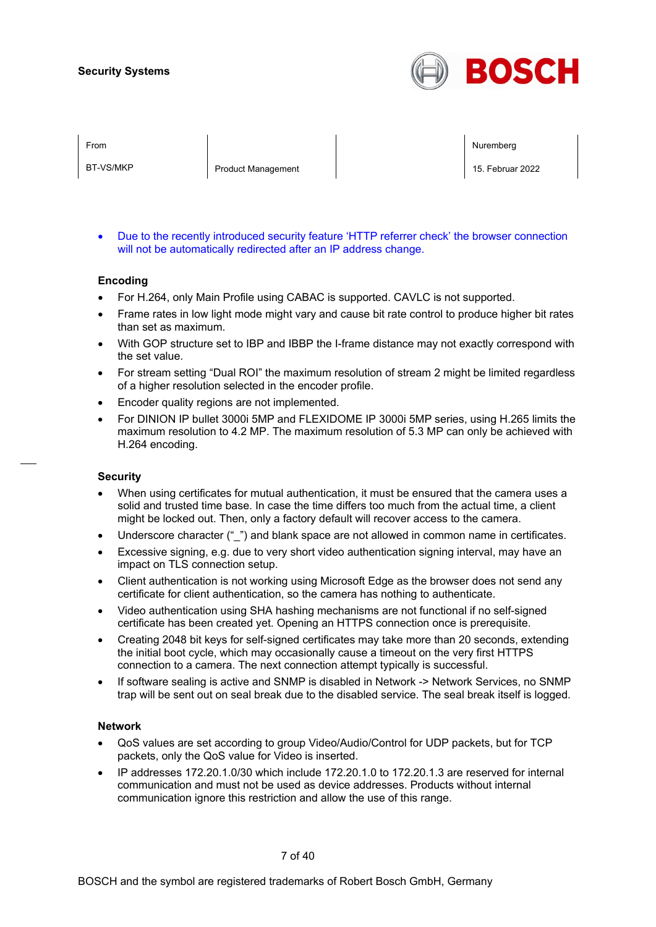

BT-VS/MKP Product Management 2022

From the second contract of the second contract of the second contract of the second contract of the second contract of the second contract of the second contract of the second contract of the second contract of the second

• Due to the recently introduced security feature 'HTTP referrer check' the browser connection will not be automatically redirected after an IP address change.

#### **Encoding**

- For H.264, only Main Profile using CABAC is supported. CAVLC is not supported.
- Frame rates in low light mode might vary and cause bit rate control to produce higher bit rates than set as maximum.
- With GOP structure set to IBP and IBBP the I-frame distance may not exactly correspond with the set value.
- For stream setting "Dual ROI" the maximum resolution of stream 2 might be limited regardless of a higher resolution selected in the encoder profile.
- Encoder quality regions are not implemented.
- For DINION IP bullet 3000i 5MP and FLEXIDOME IP 3000i 5MP series, using H.265 limits the maximum resolution to 4.2 MP. The maximum resolution of 5.3 MP can only be achieved with H.264 encoding.

#### **Security**

- When using certificates for mutual authentication, it must be ensured that the camera uses a solid and trusted time base. In case the time differs too much from the actual time, a client might be locked out. Then, only a factory default will recover access to the camera.
- Underscore character ("\_") and blank space are not allowed in common name in certificates.
- Excessive signing, e.g. due to very short video authentication signing interval, may have an impact on TLS connection setup.
- Client authentication is not working using Microsoft Edge as the browser does not send any certificate for client authentication, so the camera has nothing to authenticate.
- Video authentication using SHA hashing mechanisms are not functional if no self-signed certificate has been created yet. Opening an HTTPS connection once is prerequisite.
- Creating 2048 bit keys for self-signed certificates may take more than 20 seconds, extending the initial boot cycle, which may occasionally cause a timeout on the very first HTTPS connection to a camera. The next connection attempt typically is successful.
- If software sealing is active and SNMP is disabled in Network -> Network Services, no SNMP trap will be sent out on seal break due to the disabled service. The seal break itself is logged.

#### **Network**

- QoS values are set according to group Video/Audio/Control for UDP packets, but for TCP packets, only the QoS value for Video is inserted.
- IP addresses 172.20.1.0/30 which include 172.20.1.0 to 172.20.1.3 are reserved for internal communication and must not be used as device addresses. Products without internal communication ignore this restriction and allow the use of this range.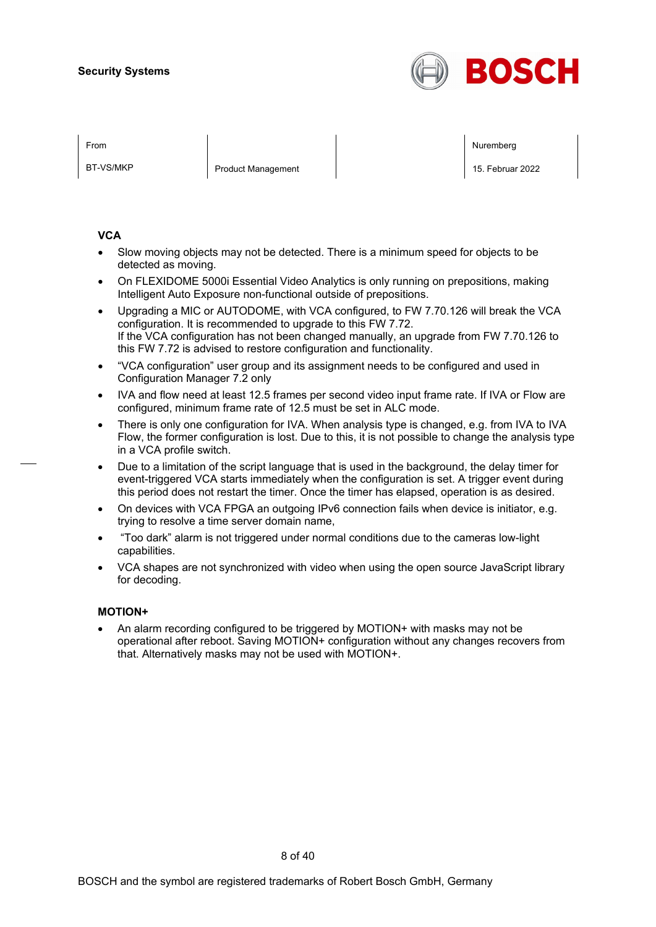

BT-VS/MKP Product Management 2022

From the second contract of the second contract of the second contract of the second contract of the second contract of the second contract of the second contract of the second contract of the second contract of the second

#### **VCA**

- Slow moving objects may not be detected. There is a minimum speed for objects to be detected as moving.
- On FLEXIDOME 5000i Essential Video Analytics is only running on prepositions, making Intelligent Auto Exposure non-functional outside of prepositions.
- Upgrading a MIC or AUTODOME, with VCA configured, to FW 7.70.126 will break the VCA configuration. It is recommended to upgrade to this FW 7.72. If the VCA configuration has not been changed manually, an upgrade from FW 7.70.126 to this FW 7.72 is advised to restore configuration and functionality.
- "VCA configuration" user group and its assignment needs to be configured and used in Configuration Manager 7.2 only
- IVA and flow need at least 12.5 frames per second video input frame rate. If IVA or Flow are configured, minimum frame rate of 12.5 must be set in ALC mode.
- There is only one configuration for IVA. When analysis type is changed, e.g. from IVA to IVA Flow, the former configuration is lost. Due to this, it is not possible to change the analysis type in a VCA profile switch.
- Due to a limitation of the script language that is used in the background, the delay timer for event-triggered VCA starts immediately when the configuration is set. A trigger event during this period does not restart the timer. Once the timer has elapsed, operation is as desired.
- On devices with VCA FPGA an outgoing IPv6 connection fails when device is initiator, e.g. trying to resolve a time server domain name,
- "Too dark" alarm is not triggered under normal conditions due to the cameras low-light capabilities.
- VCA shapes are not synchronized with video when using the open source JavaScript library for decoding.

#### **MOTION+**

• An alarm recording configured to be triggered by MOTION+ with masks may not be operational after reboot. Saving MOTION+ configuration without any changes recovers from that. Alternatively masks may not be used with MOTION+.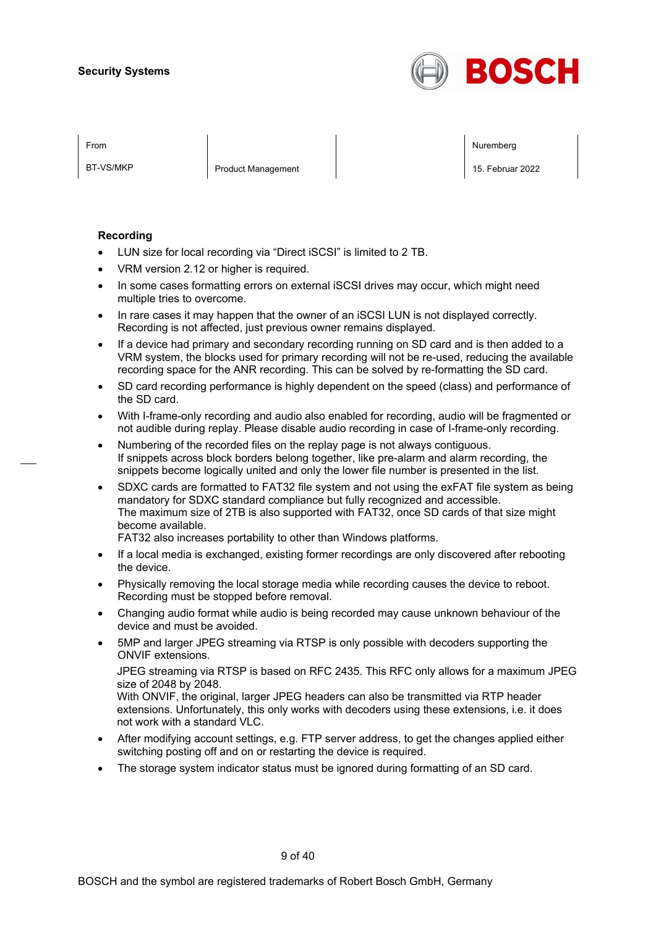

BT-VS/MKP Product Management 2022

From the second contract of the second contract of the second contract of the second contract of the second contract of the second contract of the second contract of the second contract of the second contract of the second

#### **Recording**

- LUN size for local recording via "Direct iSCSI" is limited to 2 TB.
- VRM version 2.12 or higher is required.
- In some cases formatting errors on external iSCSI drives may occur, which might need multiple tries to overcome.
- In rare cases it may happen that the owner of an iSCSI LUN is not displayed correctly. Recording is not affected, just previous owner remains displayed.
- If a device had primary and secondary recording running on SD card and is then added to a VRM system, the blocks used for primary recording will not be re-used, reducing the available recording space for the ANR recording. This can be solved by re-formatting the SD card.
- SD card recording performance is highly dependent on the speed (class) and performance of the SD card.
- With I-frame-only recording and audio also enabled for recording, audio will be fragmented or not audible during replay. Please disable audio recording in case of I-frame-only recording.
- Numbering of the recorded files on the replay page is not always contiguous. If snippets across block borders belong together, like pre-alarm and alarm recording, the snippets become logically united and only the lower file number is presented in the list.
- SDXC cards are formatted to FAT32 file system and not using the exFAT file system as being mandatory for SDXC standard compliance but fully recognized and accessible. The maximum size of 2TB is also supported with FAT32, once SD cards of that size might become available.

FAT32 also increases portability to other than Windows platforms.

- If a local media is exchanged, existing former recordings are only discovered after rebooting the device.
- Physically removing the local storage media while recording causes the device to reboot. Recording must be stopped before removal.
- Changing audio format while audio is being recorded may cause unknown behaviour of the device and must be avoided.
- 5MP and larger JPEG streaming via RTSP is only possible with decoders supporting the ONVIF extensions.

JPEG streaming via RTSP is based on RFC 2435. This RFC only allows for a maximum JPEG size of 2048 by 2048.

With ONVIF, the original, larger JPEG headers can also be transmitted via RTP header extensions. Unfortunately, this only works with decoders using these extensions, i.e. it does not work with a standard VLC.

- After modifying account settings, e.g. FTP server address, to get the changes applied either switching posting off and on or restarting the device is required.
- The storage system indicator status must be ignored during formatting of an SD card.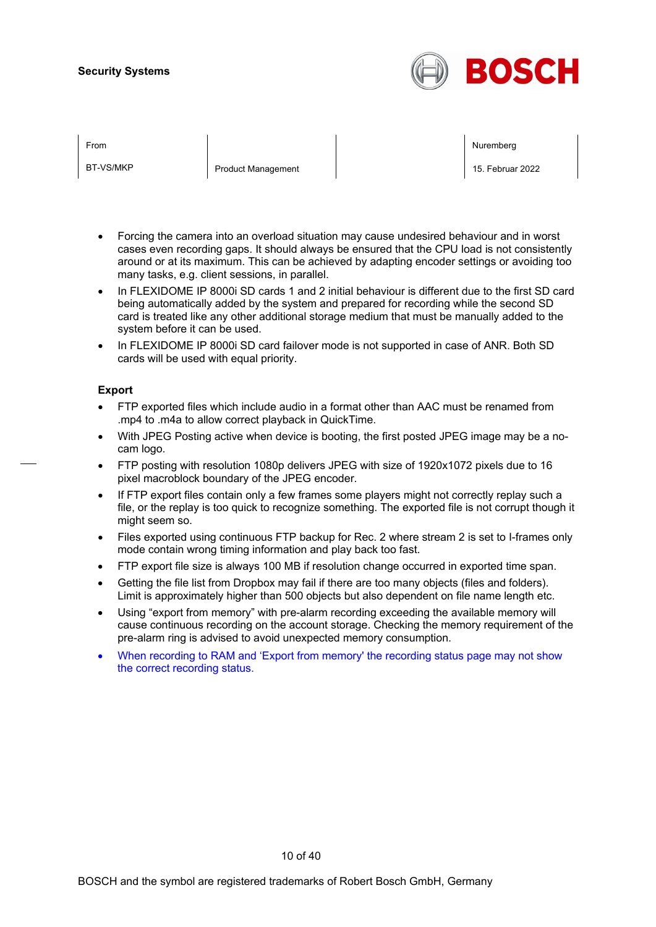

| FIUII |  |  |
|-------|--|--|
|       |  |  |
|       |  |  |

BT-VS/MKP Product Management 2022

From the second contract of the second contract of the second contract of the second contract of the second contract of the second contract of the second contract of the second contract of the second contract of the second

- Forcing the camera into an overload situation may cause undesired behaviour and in worst cases even recording gaps. It should always be ensured that the CPU load is not consistently around or at its maximum. This can be achieved by adapting encoder settings or avoiding too many tasks, e.g. client sessions, in parallel.
- In FLEXIDOME IP 8000i SD cards 1 and 2 initial behaviour is different due to the first SD card being automatically added by the system and prepared for recording while the second SD card is treated like any other additional storage medium that must be manually added to the system before it can be used.
- In FLEXIDOME IP 8000i SD card failover mode is not supported in case of ANR. Both SD cards will be used with equal priority.

#### **Export**

- FTP exported files which include audio in a format other than AAC must be renamed from .mp4 to .m4a to allow correct playback in QuickTime.
- With JPEG Posting active when device is booting, the first posted JPEG image may be a nocam logo.
- FTP posting with resolution 1080p delivers JPEG with size of 1920x1072 pixels due to 16 pixel macroblock boundary of the JPEG encoder.
- If FTP export files contain only a few frames some players might not correctly replay such a file, or the replay is too quick to recognize something. The exported file is not corrupt though it might seem so.
- Files exported using continuous FTP backup for Rec. 2 where stream 2 is set to I-frames only mode contain wrong timing information and play back too fast.
- FTP export file size is always 100 MB if resolution change occurred in exported time span.
- Getting the file list from Dropbox may fail if there are too many objects (files and folders). Limit is approximately higher than 500 objects but also dependent on file name length etc.
- Using "export from memory" with pre-alarm recording exceeding the available memory will cause continuous recording on the account storage. Checking the memory requirement of the pre-alarm ring is advised to avoid unexpected memory consumption.
- When recording to RAM and 'Export from memory' the recording status page may not show the correct recording status.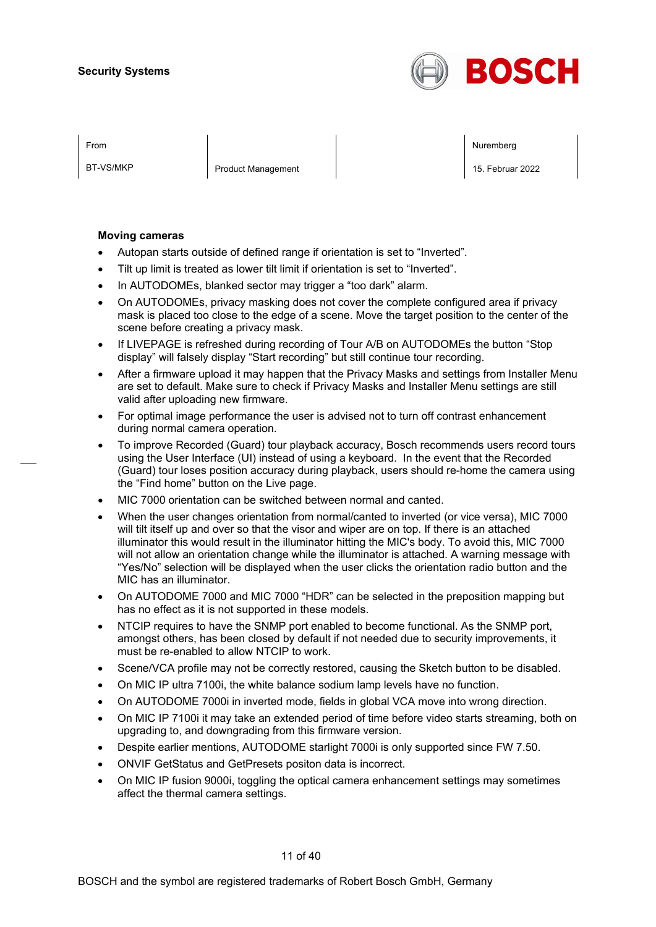

BT-VS/MKP Product Management 2022

From the second contract of the second contract of the second contract of the second contract of the second contract of the second contract of the second contract of the second contract of the second contract of the second

#### **Moving cameras**

- Autopan starts outside of defined range if orientation is set to "Inverted".
- Tilt up limit is treated as lower tilt limit if orientation is set to "Inverted".
- In AUTODOMEs, blanked sector may trigger a "too dark" alarm.
- On AUTODOMEs, privacy masking does not cover the complete configured area if privacy mask is placed too close to the edge of a scene. Move the target position to the center of the scene before creating a privacy mask.
- If LIVEPAGE is refreshed during recording of Tour A/B on AUTODOMEs the button "Stop display" will falsely display "Start recording" but still continue tour recording.
- After a firmware upload it may happen that the Privacy Masks and settings from Installer Menu are set to default. Make sure to check if Privacy Masks and Installer Menu settings are still valid after uploading new firmware.
- For optimal image performance the user is advised not to turn off contrast enhancement during normal camera operation.
- To improve Recorded (Guard) tour playback accuracy, Bosch recommends users record tours using the User Interface (UI) instead of using a keyboard. In the event that the Recorded (Guard) tour loses position accuracy during playback, users should re-home the camera using the "Find home" button on the Live page.
- MIC 7000 orientation can be switched between normal and canted.
- When the user changes orientation from normal/canted to inverted (or vice versa), MIC 7000 will tilt itself up and over so that the visor and wiper are on top. If there is an attached illuminator this would result in the illuminator hitting the MIC's body. To avoid this, MIC 7000 will not allow an orientation change while the illuminator is attached. A warning message with "Yes/No" selection will be displayed when the user clicks the orientation radio button and the MIC has an illuminator.
- On AUTODOME 7000 and MIC 7000 "HDR" can be selected in the preposition mapping but has no effect as it is not supported in these models.
- NTCIP requires to have the SNMP port enabled to become functional. As the SNMP port, amongst others, has been closed by default if not needed due to security improvements, it must be re-enabled to allow NTCIP to work.
- Scene/VCA profile may not be correctly restored, causing the Sketch button to be disabled.
- On MIC IP ultra 7100i, the white balance sodium lamp levels have no function.
- On AUTODOME 7000i in inverted mode, fields in global VCA move into wrong direction.
- On MIC IP 7100i it may take an extended period of time before video starts streaming, both on upgrading to, and downgrading from this firmware version.
- Despite earlier mentions, AUTODOME starlight 7000i is only supported since FW 7.50.
- ONVIF GetStatus and GetPresets positon data is incorrect.
- On MIC IP fusion 9000i, toggling the optical camera enhancement settings may sometimes affect the thermal camera settings.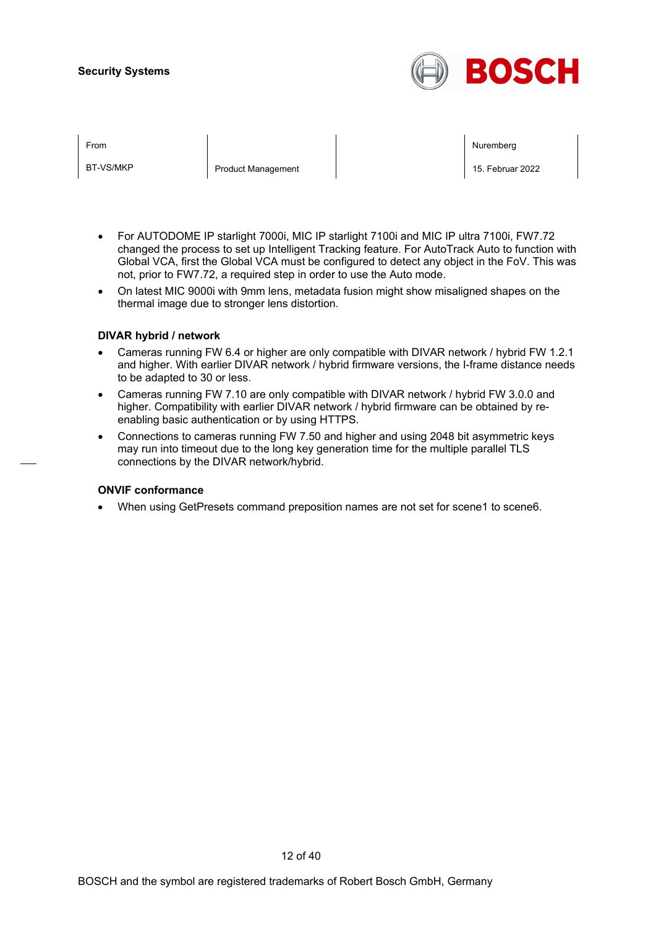

|  | ⊢rom |  |  |
|--|------|--|--|
|  |      |  |  |
|  |      |  |  |

BT-VS/MKP Product Management 2022

From the second contract of the second contract of the second contract of the second contract of the second contract of the second contract of the second contract of the second contract of the second contract of the second

- For AUTODOME IP starlight 7000i, MIC IP starlight 7100i and MIC IP ultra 7100i, FW7.72 changed the process to set up Intelligent Tracking feature. For AutoTrack Auto to function with Global VCA, first the Global VCA must be configured to detect any object in the FoV. This was not, prior to FW7.72, a required step in order to use the Auto mode.
- On latest MIC 9000i with 9mm lens, metadata fusion might show misaligned shapes on the thermal image due to stronger lens distortion.

#### **DIVAR hybrid / network**

- Cameras running FW 6.4 or higher are only compatible with DIVAR network / hybrid FW 1.2.1 and higher. With earlier DIVAR network / hybrid firmware versions, the I-frame distance needs to be adapted to 30 or less.
- Cameras running FW 7.10 are only compatible with DIVAR network / hybrid FW 3.0.0 and higher. Compatibility with earlier DIVAR network / hybrid firmware can be obtained by reenabling basic authentication or by using HTTPS.
- Connections to cameras running FW 7.50 and higher and using 2048 bit asymmetric keys may run into timeout due to the long key generation time for the multiple parallel TLS connections by the DIVAR network/hybrid.

#### **ONVIF conformance**

When using GetPresets command preposition names are not set for scene1 to scene6.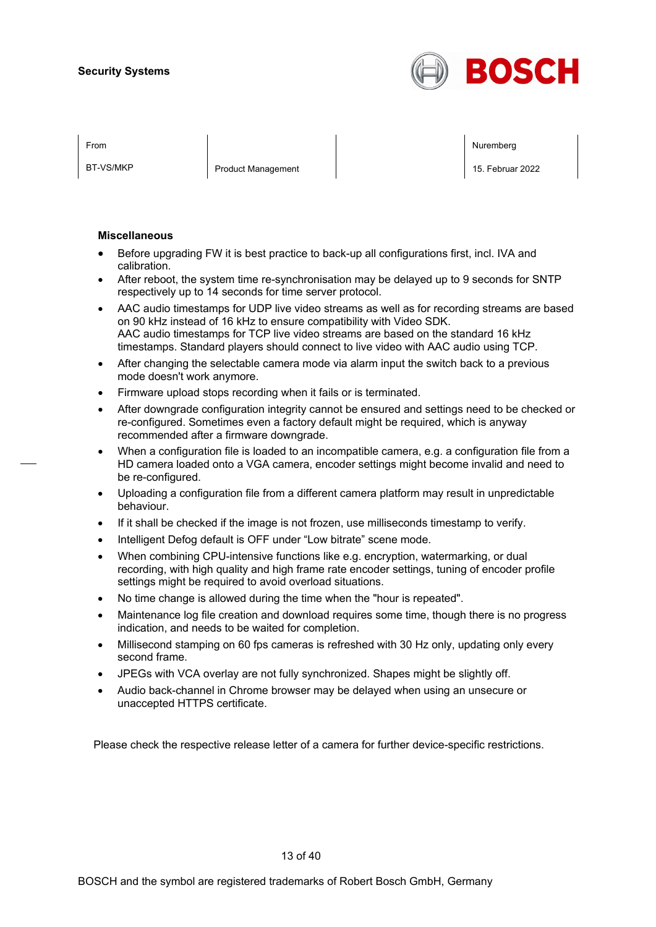

BT-VS/MKP **Product Management** 15. Februar 2022

From the second contract of the second contract of the second contract of the second contract of the second contract of the second contract of the second contract of the second contract of the second contract of the second

#### **Miscellaneous**

- Before upgrading FW it is best practice to back-up all configurations first, incl. IVA and calibration.
- After reboot, the system time re-synchronisation may be delayed up to 9 seconds for SNTP respectively up to 14 seconds for time server protocol.
- AAC audio timestamps for UDP live video streams as well as for recording streams are based on 90 kHz instead of 16 kHz to ensure compatibility with Video SDK. AAC audio timestamps for TCP live video streams are based on the standard 16 kHz timestamps. Standard players should connect to live video with AAC audio using TCP.
- After changing the selectable camera mode via alarm input the switch back to a previous mode doesn't work anymore.
- Firmware upload stops recording when it fails or is terminated.
- After downgrade configuration integrity cannot be ensured and settings need to be checked or re-configured. Sometimes even a factory default might be required, which is anyway recommended after a firmware downgrade.
- When a configuration file is loaded to an incompatible camera, e.g. a configuration file from a HD camera loaded onto a VGA camera, encoder settings might become invalid and need to be re-configured.
- Uploading a configuration file from a different camera platform may result in unpredictable behaviour.
- If it shall be checked if the image is not frozen, use milliseconds timestamp to verify.
- Intelligent Defog default is OFF under "Low bitrate" scene mode.
- When combining CPU-intensive functions like e.g. encryption, watermarking, or dual recording, with high quality and high frame rate encoder settings, tuning of encoder profile settings might be required to avoid overload situations.
- No time change is allowed during the time when the "hour is repeated".
- Maintenance log file creation and download requires some time, though there is no progress indication, and needs to be waited for completion.
- Millisecond stamping on 60 fps cameras is refreshed with 30 Hz only, updating only every second frame.
- JPEGs with VCA overlay are not fully synchronized. Shapes might be slightly off.
- Audio back-channel in Chrome browser may be delayed when using an unsecure or unaccepted HTTPS certificate.

Please check the respective release letter of a camera for further device-specific restrictions.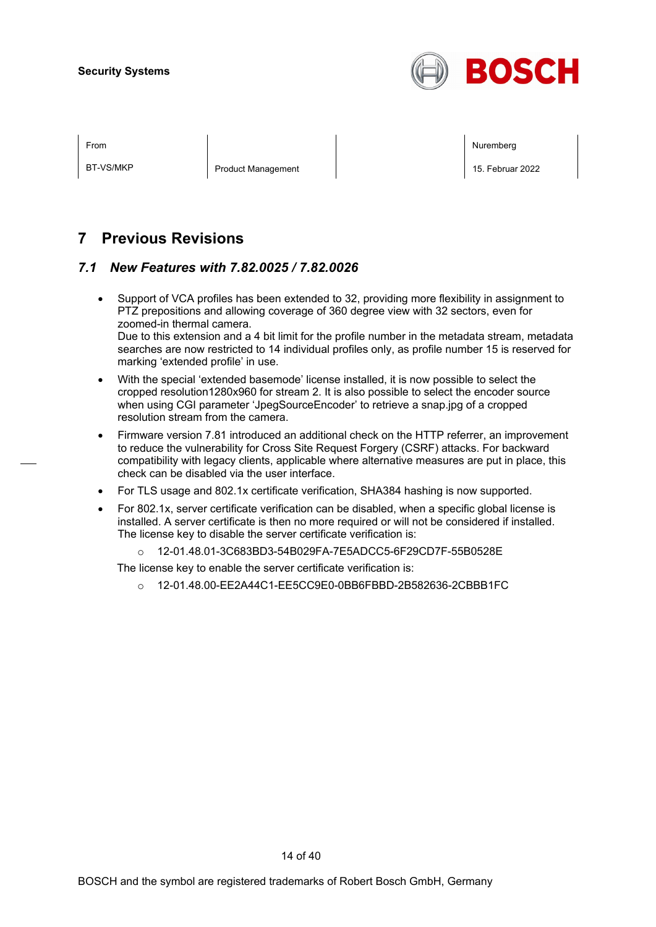

BT-VS/MKP **Product Management** 15. Februar 2022

From the second contract of the second contract of the second contract of the second contract of the second contract of the second contract of the second contract of the second contract of the second contract of the second

## **7 Previous Revisions**

### *7.1 New Features with 7.82.0025 / 7.82.0026*

- Support of VCA profiles has been extended to 32, providing more flexibility in assignment to PTZ prepositions and allowing coverage of 360 degree view with 32 sectors, even for zoomed-in thermal camera. Due to this extension and a 4 bit limit for the profile number in the metadata stream, metadata searches are now restricted to 14 individual profiles only, as profile number 15 is reserved for marking 'extended profile' in use.
- With the special 'extended basemode' license installed, it is now possible to select the cropped resolution1280x960 for stream 2. It is also possible to select the encoder source when using CGI parameter 'JpegSourceEncoder' to retrieve a snap.jpg of a cropped resolution stream from the camera.
- Firmware version 7.81 introduced an additional check on the HTTP referrer, an improvement to reduce the vulnerability for Cross Site Request Forgery (CSRF) attacks. For backward compatibility with legacy clients, applicable where alternative measures are put in place, this check can be disabled via the user interface.
- For TLS usage and 802.1x certificate verification, SHA384 hashing is now supported.
- For 802.1x, server certificate verification can be disabled, when a specific global license is installed. A server certificate is then no more required or will not be considered if installed. The license key to disable the server certificate verification is:
	- o 12-01.48.01-3C683BD3-54B029FA-7E5ADCC5-6F29CD7F-55B0528E

The license key to enable the server certificate verification is:

o 12-01.48.00-EE2A44C1-EE5CC9E0-0BB6FBBD-2B582636-2CBBB1FC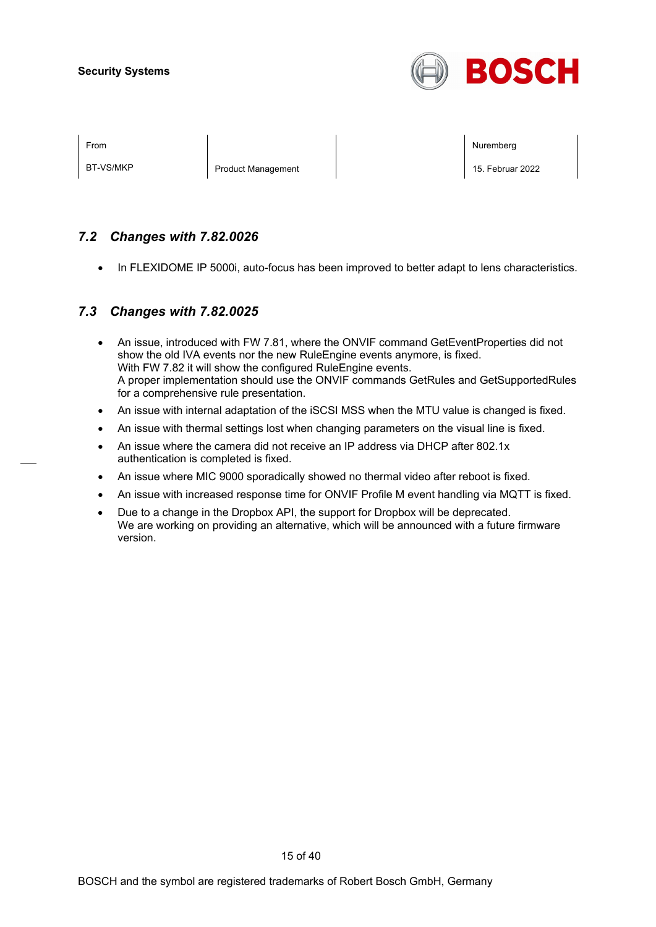

BT-VS/MKP **Product Management** 15. Februar 2022

From the second contract of the second contract of the second contract of the second contract of the second contract of the second contract of the second contract of the second contract of the second contract of the second

### *7.2 Changes with 7.82.0026*

• In FLEXIDOME IP 5000i, auto-focus has been improved to better adapt to lens characteristics.

### *7.3 Changes with 7.82.0025*

- An issue, introduced with FW 7.81, where the ONVIF command GetEventProperties did not show the old IVA events nor the new RuleEngine events anymore, is fixed. With FW 7.82 it will show the configured RuleEngine events. A proper implementation should use the ONVIF commands GetRules and GetSupportedRules for a comprehensive rule presentation.
- An issue with internal adaptation of the iSCSI MSS when the MTU value is changed is fixed.
- An issue with thermal settings lost when changing parameters on the visual line is fixed.
- An issue where the camera did not receive an IP address via DHCP after 802.1x authentication is completed is fixed.
- An issue where MIC 9000 sporadically showed no thermal video after reboot is fixed.
- An issue with increased response time for ONVIF Profile M event handling via MQTT is fixed.
- Due to a change in the Dropbox API, the support for Dropbox will be deprecated. We are working on providing an alternative, which will be announced with a future firmware version.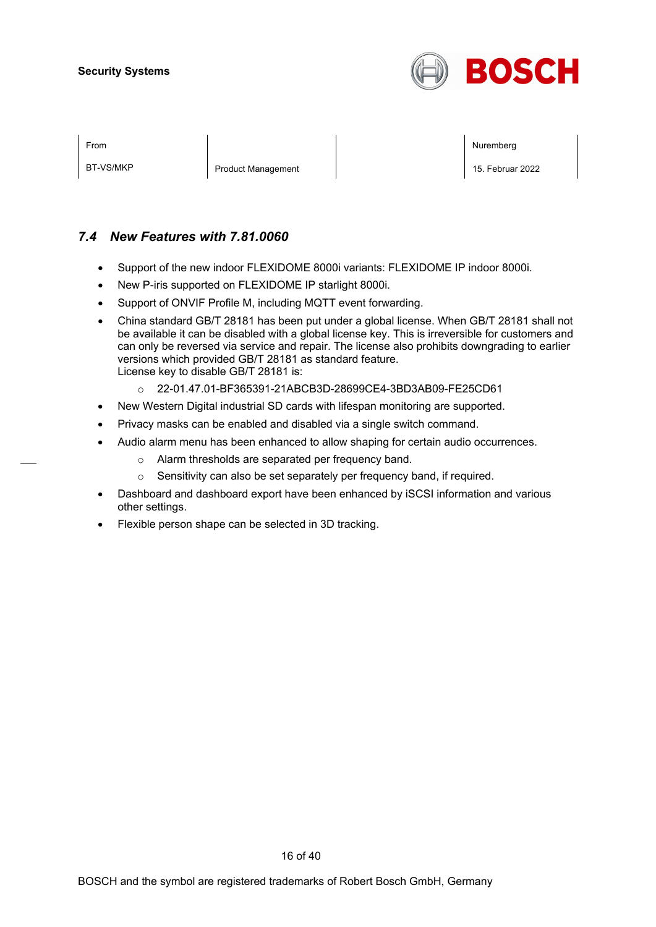

| ⊦rom |  |
|------|--|
|      |  |

BT-VS/MKP **Product Management** 15. Februar 2022

From the second contract of the second contract of the second contract of the second contract of the second contract of the second contract of the second contract of the second contract of the second contract of the second

### *7.4 New Features with 7.81.0060*

- Support of the new indoor FLEXIDOME 8000i variants: FLEXIDOME IP indoor 8000i.
- New P-iris supported on FLEXIDOME IP starlight 8000i.
- Support of ONVIF Profile M, including MQTT event forwarding.
- China standard GB/T 28181 has been put under a global license. When GB/T 28181 shall not be available it can be disabled with a global license key. This is irreversible for customers and can only be reversed via service and repair. The license also prohibits downgrading to earlier versions which provided GB/T 28181 as standard feature. License key to disable GB/T 28181 is:
	- o 22-01.47.01-BF365391-21ABCB3D-28699CE4-3BD3AB09-FE25CD61
- New Western Digital industrial SD cards with lifespan monitoring are supported.
- Privacy masks can be enabled and disabled via a single switch command.
	- Audio alarm menu has been enhanced to allow shaping for certain audio occurrences.
		- o Alarm thresholds are separated per frequency band.
		- o Sensitivity can also be set separately per frequency band, if required.
- Dashboard and dashboard export have been enhanced by iSCSI information and various other settings.
- Flexible person shape can be selected in 3D tracking.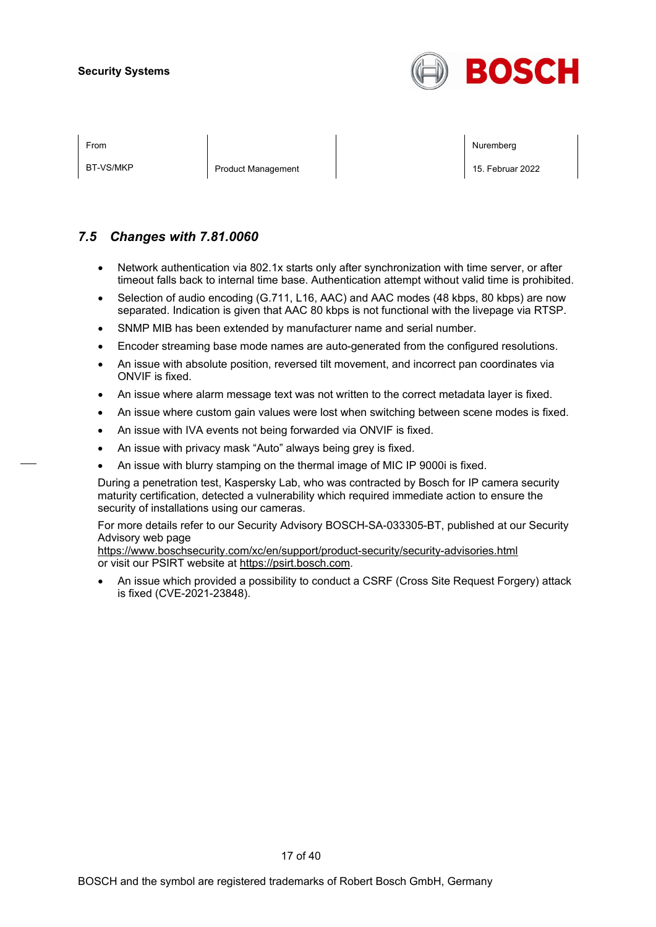

| ×<br>I |
|--------|
|--------|

BT-VS/MKP **Product Management** 2022

From the second contract of the second contract of the second contract of the second contract of the second contract of the second contract of the second contract of the second contract of the second contract of the second

### *7.5 Changes with 7.81.0060*

- Network authentication via 802.1x starts only after synchronization with time server, or after timeout falls back to internal time base. Authentication attempt without valid time is prohibited.
- Selection of audio encoding (G.711, L16, AAC) and AAC modes (48 kbps, 80 kbps) are now separated. Indication is given that AAC 80 kbps is not functional with the livepage via RTSP.
- SNMP MIB has been extended by manufacturer name and serial number.
- Encoder streaming base mode names are auto-generated from the configured resolutions.
- An issue with absolute position, reversed tilt movement, and incorrect pan coordinates via ONVIF is fixed.
- An issue where alarm message text was not written to the correct metadata layer is fixed.
- An issue where custom gain values were lost when switching between scene modes is fixed.
- An issue with IVA events not being forwarded via ONVIF is fixed.
- An issue with privacy mask "Auto" always being grey is fixed.
- An issue with blurry stamping on the thermal image of MIC IP 9000i is fixed.

During a penetration test, Kaspersky Lab, who was contracted by Bosch for IP camera security maturity certification, detected a vulnerability which required immediate action to ensure the security of installations using our cameras.

For more details refer to our Security Advisory BOSCH-SA-033305-BT, published at our Security Advisory web page

<https://www.boschsecurity.com/xc/en/support/product-security/security-advisories.html> or visit our PSIRT website at [https://psirt.bosch.com.](https://psirt.bosch.com/)

• An issue which provided a possibility to conduct a CSRF (Cross Site Request Forgery) attack is fixed (CVE-2021-23848).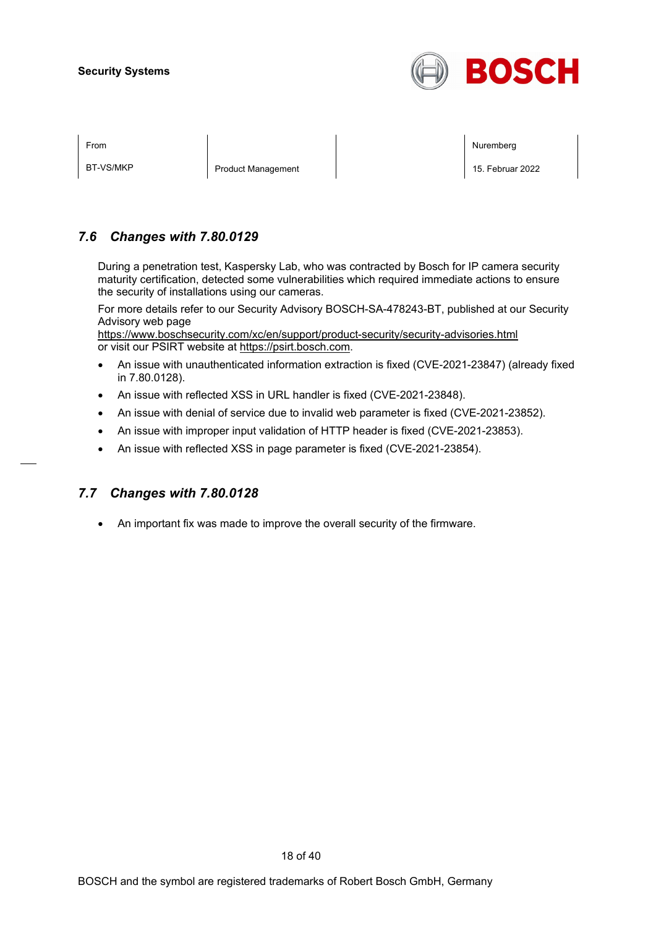

| ×<br>I |
|--------|
|--------|

BT-VS/MKP Product Management 15. Februar 2022

From the second contract of the second contract of the second contract of the second contract of the second contract of the second contract of the second contract of the second contract of the second contract of the second

### *7.6 Changes with 7.80.0129*

During a penetration test, Kaspersky Lab, who was contracted by Bosch for IP camera security maturity certification, detected some vulnerabilities which required immediate actions to ensure the security of installations using our cameras.

For more details refer to our Security Advisory BOSCH-SA-478243-BT, published at our Security Advisory web page

<https://www.boschsecurity.com/xc/en/support/product-security/security-advisories.html> or visit our PSIRT website at [https://psirt.bosch.com.](https://psirt.bosch.com/)

- An issue with unauthenticated information extraction is fixed (CVE-2021-23847) (already fixed in 7.80.0128).
- An issue with reflected XSS in URL handler is fixed (CVE-2021-23848).
- An issue with denial of service due to invalid web parameter is fixed (CVE-2021-23852).
- An issue with improper input validation of HTTP header is fixed (CVE-2021-23853).
- An issue with reflected XSS in page parameter is fixed (CVE-2021-23854).

### *7.7 Changes with 7.80.0128*

• An important fix was made to improve the overall security of the firmware.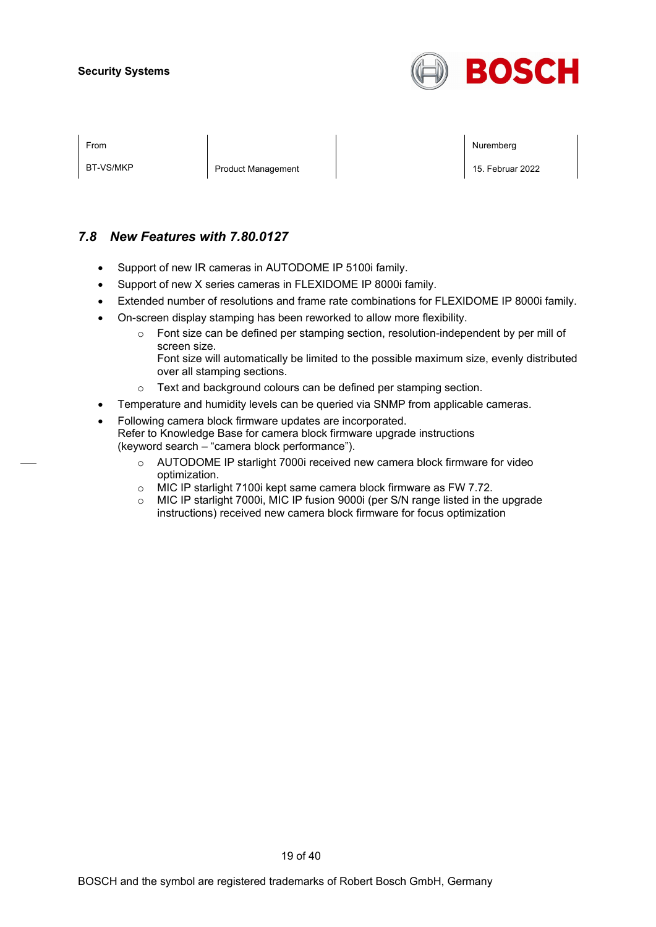

| ×<br>I |  |
|--------|--|
|        |  |

BT-VS/MKP **Product Management** 2022

From the second contract of the second contract of the second contract of the second contract of the second contract of the second contract of the second contract of the second contract of the second contract of the second

### *7.8 New Features with 7.80.0127*

- Support of new IR cameras in AUTODOME IP 5100i family.
- Support of new X series cameras in FLEXIDOME IP 8000i family.
- Extended number of resolutions and frame rate combinations for FLEXIDOME IP 8000i family.
- On-screen display stamping has been reworked to allow more flexibility.
	- o Font size can be defined per stamping section, resolution-independent by per mill of screen size.
		- Font size will automatically be limited to the possible maximum size, evenly distributed over all stamping sections.
	- o Text and background colours can be defined per stamping section.
- Temperature and humidity levels can be queried via SNMP from applicable cameras.
- Following camera block firmware updates are incorporated. Refer to Knowledge Base for camera block firmware upgrade instructions (keyword search – "camera block performance").
	- o AUTODOME IP starlight 7000i received new camera block firmware for video optimization.
	- o MIC IP starlight 7100i kept same camera block firmware as FW 7.72.
	- $\circ$  MIC IP starlight 7000i, MIC IP fusion 9000i (per S/N range listed in the upgrade instructions) received new camera block firmware for focus optimization

19 of 40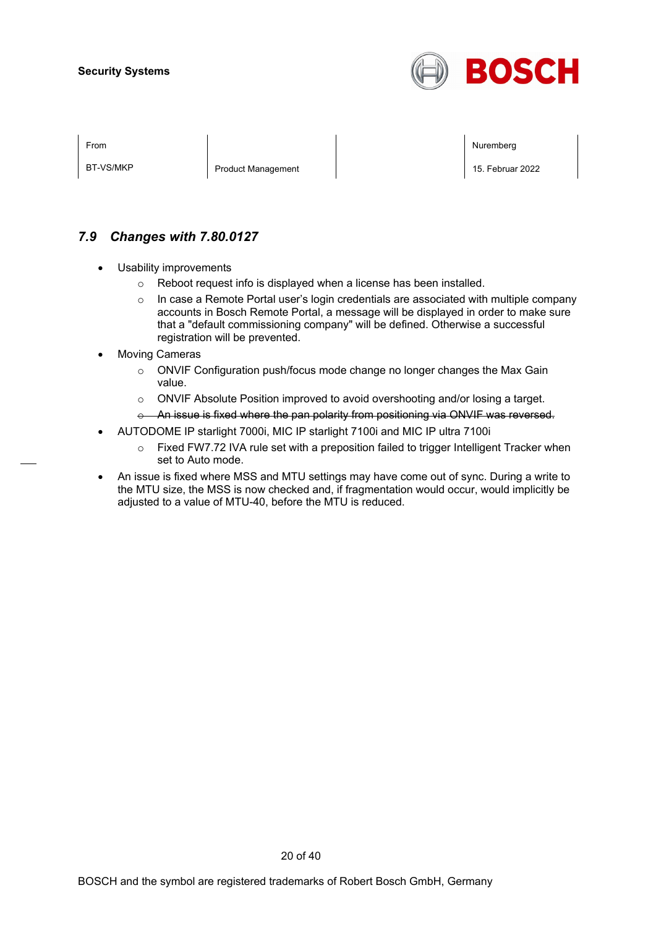

BT-VS/MKP Product Management 15. Februar 2022

From the second contract of the second contract of the second contract of the second contract of the second contract of the second contract of the second contract of the second contract of the second contract of the second

### *7.9 Changes with 7.80.0127*

- Usability improvements
	- o Reboot request info is displayed when a license has been installed.
	- $\circ$  In case a Remote Portal user's login credentials are associated with multiple company accounts in Bosch Remote Portal, a message will be displayed in order to make sure that a "default commissioning company" will be defined. Otherwise a successful registration will be prevented.
- **Moving Cameras** 
	- $\circ$  ONVIF Configuration push/focus mode change no longer changes the Max Gain value.
	- o ONVIF Absolute Position improved to avoid overshooting and/or losing a target.
	- o An issue is fixed where the pan polarity from positioning via ONVIF was reversed.
- AUTODOME IP starlight 7000i, MIC IP starlight 7100i and MIC IP ultra 7100i
	- o Fixed FW7.72 IVA rule set with a preposition failed to trigger Intelligent Tracker when set to Auto mode.
- An issue is fixed where MSS and MTU settings may have come out of sync. During a write to the MTU size, the MSS is now checked and, if fragmentation would occur, would implicitly be adjusted to a value of MTU-40, before the MTU is reduced.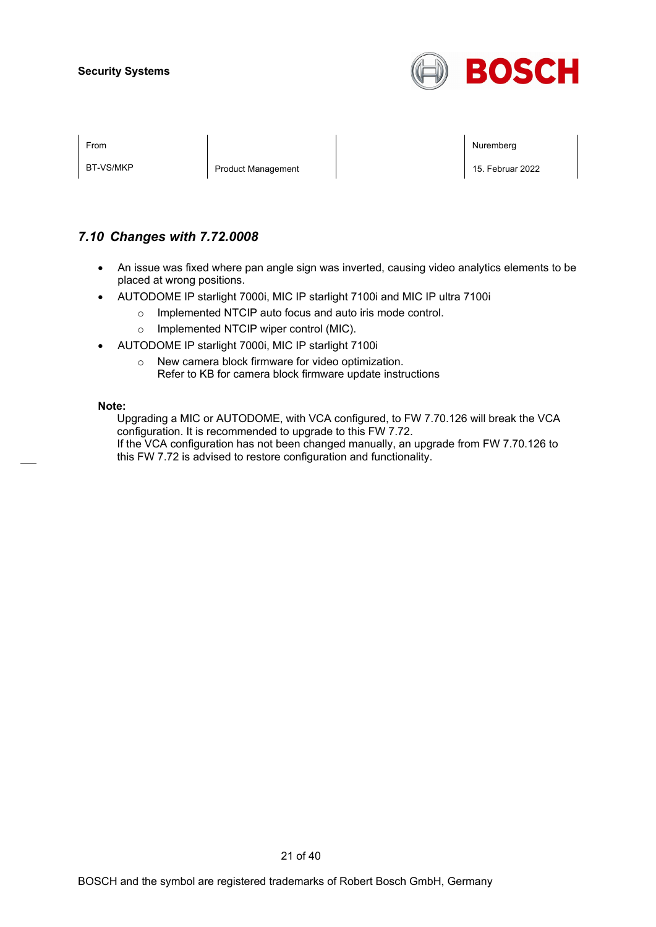

| rom |  |
|-----|--|
|     |  |

BT-VS/MKP Product Management 15. Februar 2022

From the second contract of the second contract of the second contract of the second contract of the second contract of the second contract of the second contract of the second contract of the second contract of the second

### *7.10 Changes with 7.72.0008*

- An issue was fixed where pan angle sign was inverted, causing video analytics elements to be placed at wrong positions.
- AUTODOME IP starlight 7000i, MIC IP starlight 7100i and MIC IP ultra 7100i
	- o Implemented NTCIP auto focus and auto iris mode control.
	- o Implemented NTCIP wiper control (MIC).
- AUTODOME IP starlight 7000i, MIC IP starlight 7100i
	- o New camera block firmware for video optimization. Refer to KB for camera block firmware update instructions

#### **Note:**

Upgrading a MIC or AUTODOME, with VCA configured, to FW 7.70.126 will break the VCA configuration. It is recommended to upgrade to this FW 7.72. If the VCA configuration has not been changed manually, an upgrade from FW 7.70.126 to this FW 7.72 is advised to restore configuration and functionality.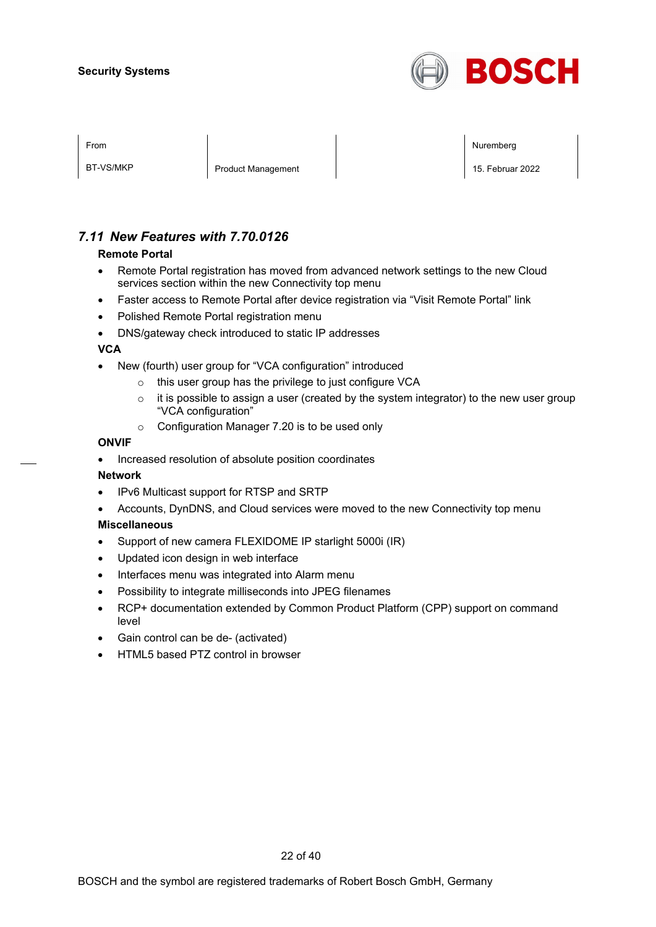

| From |  | Nuremberg |
|------|--|-----------|
|      |  |           |
|      |  |           |
|      |  |           |

BT-VS/MKP **Product Management** 2022

### *7.11 New Features with 7.70.0126*

#### **Remote Portal**

- Remote Portal registration has moved from advanced network settings to the new Cloud services section within the new Connectivity top menu
- Faster access to Remote Portal after device registration via "Visit Remote Portal" link
- Polished Remote Portal registration menu
- DNS/gateway check introduced to static IP addresses

#### **VCA**

- New (fourth) user group for "VCA configuration" introduced
	- o this user group has the privilege to just configure VCA
	- $\circ$  it is possible to assign a user (created by the system integrator) to the new user group "VCA configuration"
	- o Configuration Manager 7.20 is to be used only

#### **ONVIF**

• Increased resolution of absolute position coordinates

#### **Network**

- IPv6 Multicast support for RTSP and SRTP
- Accounts, DynDNS, and Cloud services were moved to the new Connectivity top menu

#### **Miscellaneous**

- Support of new camera FLEXIDOME IP starlight 5000i (IR)
- Updated icon design in web interface
- Interfaces menu was integrated into Alarm menu
- Possibility to integrate milliseconds into JPEG filenames
- RCP+ documentation extended by Common Product Platform (CPP) support on command level
- Gain control can be de- (activated)
- HTML5 based PTZ control in browser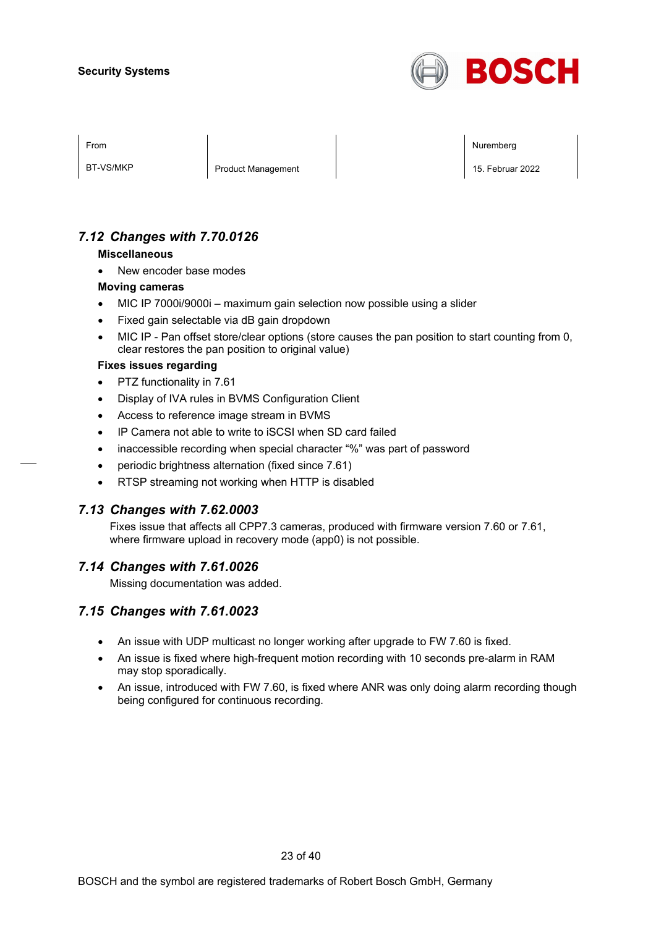

| I<br>× |  |
|--------|--|
|--------|--|

BT-VS/MKP **Product Management** 2022

From the second contract of the second contract of the second contract of the second contract of the second contract of the second contract of the second contract of the second contract of the second contract of the second

### *7.12 Changes with 7.70.0126*

#### **Miscellaneous**

New encoder base modes

#### **Moving cameras**

- MIC IP 7000i/9000i maximum gain selection now possible using a slider
- Fixed gain selectable via dB gain dropdown
- MIC IP Pan offset store/clear options (store causes the pan position to start counting from 0, clear restores the pan position to original value)

#### **Fixes issues regarding**

- PTZ functionality in 7.61
- Display of IVA rules in BVMS Configuration Client
- Access to reference image stream in BVMS
- IP Camera not able to write to iSCSI when SD card failed
- inaccessible recording when special character "%" was part of password
- periodic brightness alternation (fixed since 7.61)
- RTSP streaming not working when HTTP is disabled

#### *7.13 Changes with 7.62.0003*

Fixes issue that affects all CPP7.3 cameras, produced with firmware version 7.60 or 7.61, where firmware upload in recovery mode (app0) is not possible.

#### *7.14 Changes with 7.61.0026*

Missing documentation was added.

#### *7.15 Changes with 7.61.0023*

- An issue with UDP multicast no longer working after upgrade to FW 7.60 is fixed.
- An issue is fixed where high-frequent motion recording with 10 seconds pre-alarm in RAM may stop sporadically.
- An issue, introduced with FW 7.60, is fixed where ANR was only doing alarm recording though being configured for continuous recording.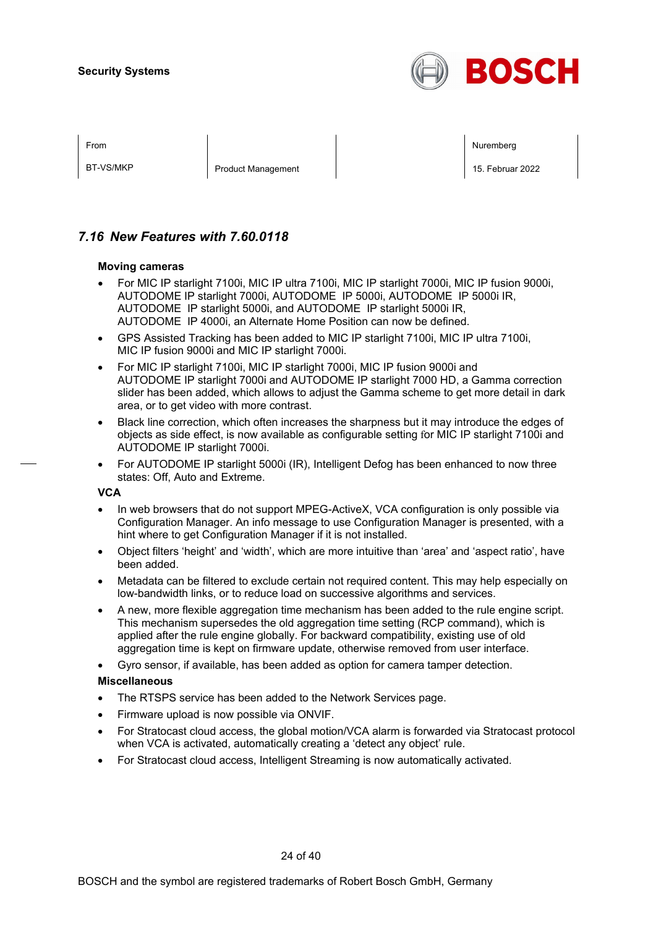

| ×<br>I |
|--------|
|--------|

BT-VS/MKP **Product Management** 15. Februar 2022

From the second contract of the second contract of the second contract of the second contract of the second contract of the second contract of the second contract of the second contract of the second contract of the second

### *7.16 New Features with 7.60.0118*

#### **Moving cameras**

- For MIC IP starlight 7100i, MIC IP ultra 7100i, MIC IP starlight 7000i, MIC IP fusion 9000i, AUTODOME IP starlight 7000i, AUTODOME IP 5000i, AUTODOME IP 5000i IR, AUTODOME IP starlight 5000i, and AUTODOME IP starlight 5000i IR, AUTODOME IP 4000i, an Alternate Home Position can now be defined.
- GPS Assisted Tracking has been added to MIC IP starlight 7100i, MIC IP ultra 7100i, MIC IP fusion 9000i and MIC IP starlight 7000i.
- For MIC IP starlight 7100i, MIC IP starlight 7000i, MIC IP fusion 9000i and AUTODOME IP starlight 7000i and AUTODOME IP starlight 7000 HD, a Gamma correction slider has been added, which allows to adjust the Gamma scheme to get more detail in dark area, or to get video with more contrast.
- Black line correction, which often increases the sharpness but it may introduce the edges of objects as side effect, is now available as configurable setting for MIC IP starlight 7100i and AUTODOME IP starlight 7000i.
- For AUTODOME IP starlight 5000i (IR), Intelligent Defog has been enhanced to now three states: Off, Auto and Extreme.

#### **VCA**

- In web browsers that do not support MPEG-ActiveX, VCA configuration is only possible via Configuration Manager. An info message to use Configuration Manager is presented, with a hint where to get Configuration Manager if it is not installed.
- Object filters 'height' and 'width', which are more intuitive than 'area' and 'aspect ratio', have been added.
- Metadata can be filtered to exclude certain not required content. This may help especially on low-bandwidth links, or to reduce load on successive algorithms and services.
- A new, more flexible aggregation time mechanism has been added to the rule engine script. This mechanism supersedes the old aggregation time setting (RCP command), which is applied after the rule engine globally. For backward compatibility, existing use of old aggregation time is kept on firmware update, otherwise removed from user interface.
- Gyro sensor, if available, has been added as option for camera tamper detection.

#### **Miscellaneous**

- The RTSPS service has been added to the Network Services page.
- Firmware upload is now possible via ONVIF.
- For Stratocast cloud access, the global motion/VCA alarm is forwarded via Stratocast protocol when VCA is activated, automatically creating a 'detect any object' rule.
- For Stratocast cloud access, Intelligent Streaming is now automatically activated.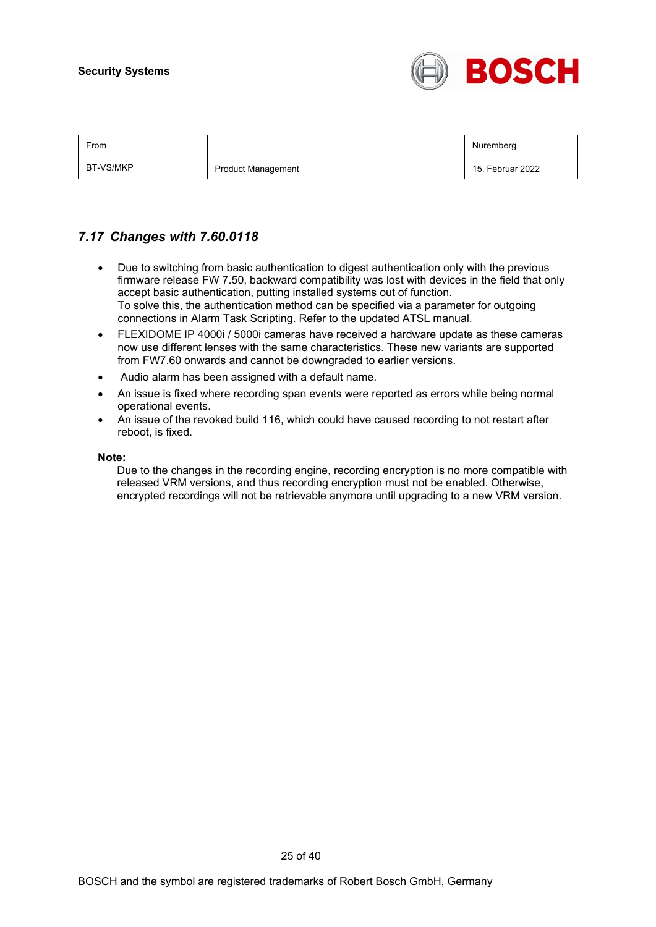

BT-VS/MKP **Product Management** 15. Februar 2022

From the second contract of the second contract of the second contract of the second contract of the second contract of the second contract of the second contract of the second contract of the second contract of the second

### *7.17 Changes with 7.60.0118*

- Due to switching from basic authentication to digest authentication only with the previous firmware release FW 7.50, backward compatibility was lost with devices in the field that only accept basic authentication, putting installed systems out of function. To solve this, the authentication method can be specified via a parameter for outgoing connections in Alarm Task Scripting. Refer to the updated ATSL manual.
- FLEXIDOME IP 4000i / 5000i cameras have received a hardware update as these cameras now use different lenses with the same characteristics. These new variants are supported from FW7.60 onwards and cannot be downgraded to earlier versions.
- Audio alarm has been assigned with a default name.
- An issue is fixed where recording span events were reported as errors while being normal operational events.
- An issue of the revoked build 116, which could have caused recording to not restart after reboot, is fixed.

#### **Note:**

Due to the changes in the recording engine, recording encryption is no more compatible with released VRM versions, and thus recording encryption must not be enabled. Otherwise, encrypted recordings will not be retrievable anymore until upgrading to a new VRM version.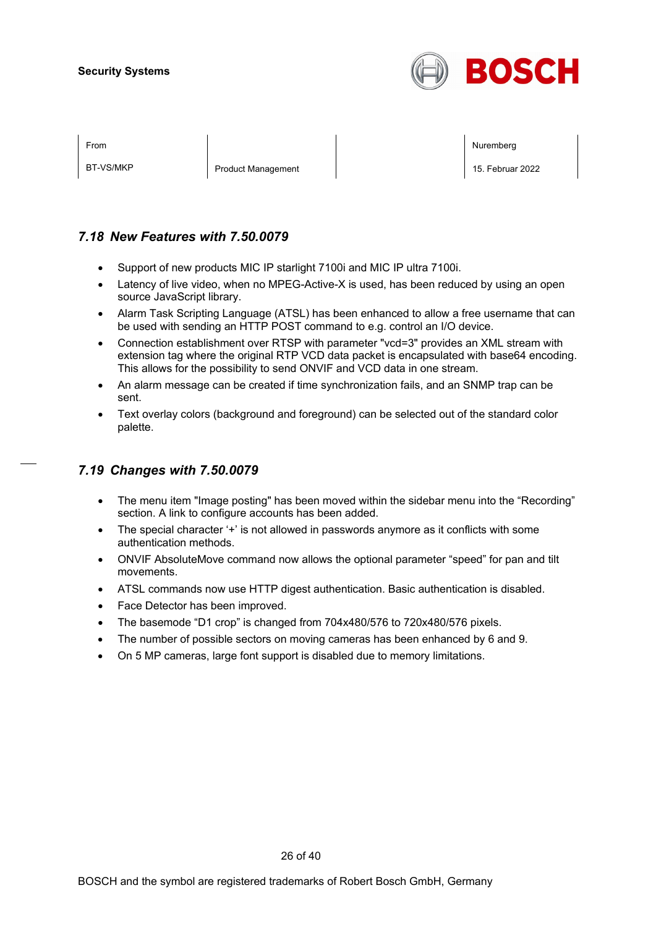

| ⊢rom |  |
|------|--|
|      |  |

BT-VS/MKP **Product Management** 15. Februar 2022

From the second contract of the second contract of the second contract of the second contract of the second contract of the second contract of the second contract of the second contract of the second contract of the second

### *7.18 New Features with 7.50.0079*

- Support of new products MIC IP starlight 7100i and MIC IP ultra 7100i.
- Latency of live video, when no MPEG-Active-X is used, has been reduced by using an open source JavaScript library.
- Alarm Task Scripting Language (ATSL) has been enhanced to allow a free username that can be used with sending an HTTP POST command to e.g. control an I/O device.
- Connection establishment over RTSP with parameter "vcd=3" provides an XML stream with extension tag where the original RTP VCD data packet is encapsulated with base64 encoding. This allows for the possibility to send ONVIF and VCD data in one stream.
- An alarm message can be created if time synchronization fails, and an SNMP trap can be sent.
- Text overlay colors (background and foreground) can be selected out of the standard color palette.

### *7.19 Changes with 7.50.0079*

- The menu item "Image posting" has been moved within the sidebar menu into the "Recording" section. A link to configure accounts has been added.
- The special character '+' is not allowed in passwords anymore as it conflicts with some authentication methods.
- ONVIF AbsoluteMove command now allows the optional parameter "speed" for pan and tilt movements.
- ATSL commands now use HTTP digest authentication. Basic authentication is disabled.
- Face Detector has been improved.
- The basemode "D1 crop" is changed from 704x480/576 to 720x480/576 pixels.
- The number of possible sectors on moving cameras has been enhanced by 6 and 9.
- On 5 MP cameras, large font support is disabled due to memory limitations.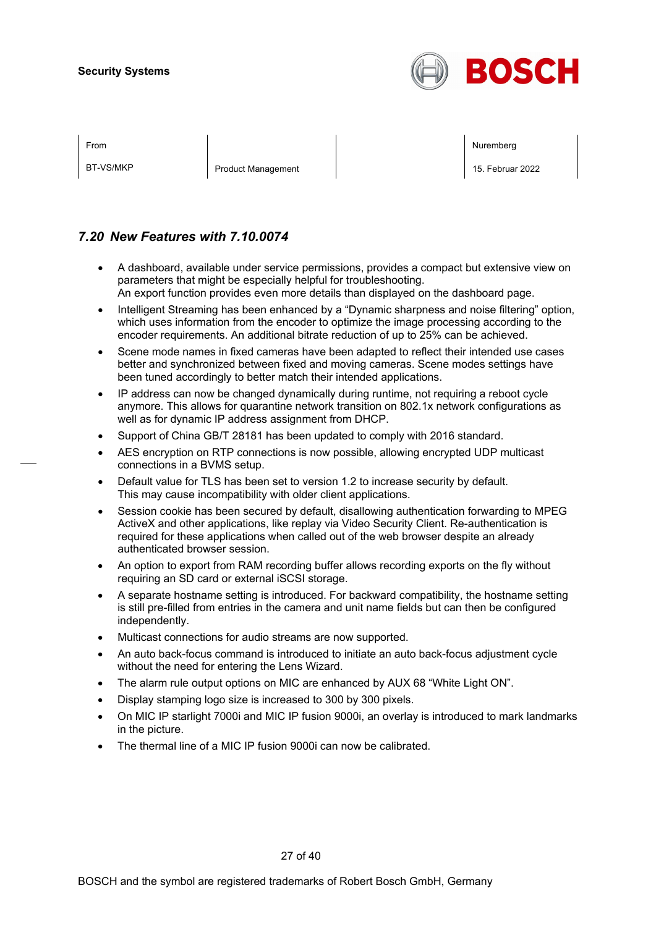

BT-VS/MKP **Product Management** 15. Februar 2022

From the second contract of the second contract of the second contract of the second contract of the second contract of the second contract of the second contract of the second contract of the second contract of the second

### *7.20 New Features with 7.10.0074*

- A dashboard, available under service permissions, provides a compact but extensive view on parameters that might be especially helpful for troubleshooting. An export function provides even more details than displayed on the dashboard page.
- Intelligent Streaming has been enhanced by a "Dynamic sharpness and noise filtering" option, which uses information from the encoder to optimize the image processing according to the encoder requirements. An additional bitrate reduction of up to 25% can be achieved.
- Scene mode names in fixed cameras have been adapted to reflect their intended use cases better and synchronized between fixed and moving cameras. Scene modes settings have been tuned accordingly to better match their intended applications.
- IP address can now be changed dynamically during runtime, not requiring a reboot cycle anymore. This allows for quarantine network transition on 802.1x network configurations as well as for dynamic IP address assignment from DHCP.
- Support of China GB/T 28181 has been updated to comply with 2016 standard.
- AES encryption on RTP connections is now possible, allowing encrypted UDP multicast connections in a BVMS setup.
- Default value for TLS has been set to version 1.2 to increase security by default. This may cause incompatibility with older client applications.
- Session cookie has been secured by default, disallowing authentication forwarding to MPEG ActiveX and other applications, like replay via Video Security Client. Re-authentication is required for these applications when called out of the web browser despite an already authenticated browser session.
- An option to export from RAM recording buffer allows recording exports on the fly without requiring an SD card or external iSCSI storage.
- A separate hostname setting is introduced. For backward compatibility, the hostname setting is still pre-filled from entries in the camera and unit name fields but can then be configured independently.
- Multicast connections for audio streams are now supported.
- An auto back-focus command is introduced to initiate an auto back-focus adjustment cycle without the need for entering the Lens Wizard.
- The alarm rule output options on MIC are enhanced by AUX 68 "White Light ON".
- Display stamping logo size is increased to 300 by 300 pixels.
- On MIC IP starlight 7000i and MIC IP fusion 9000i, an overlay is introduced to mark landmarks in the picture.
- The thermal line of a MIC IP fusion 9000i can now be calibrated.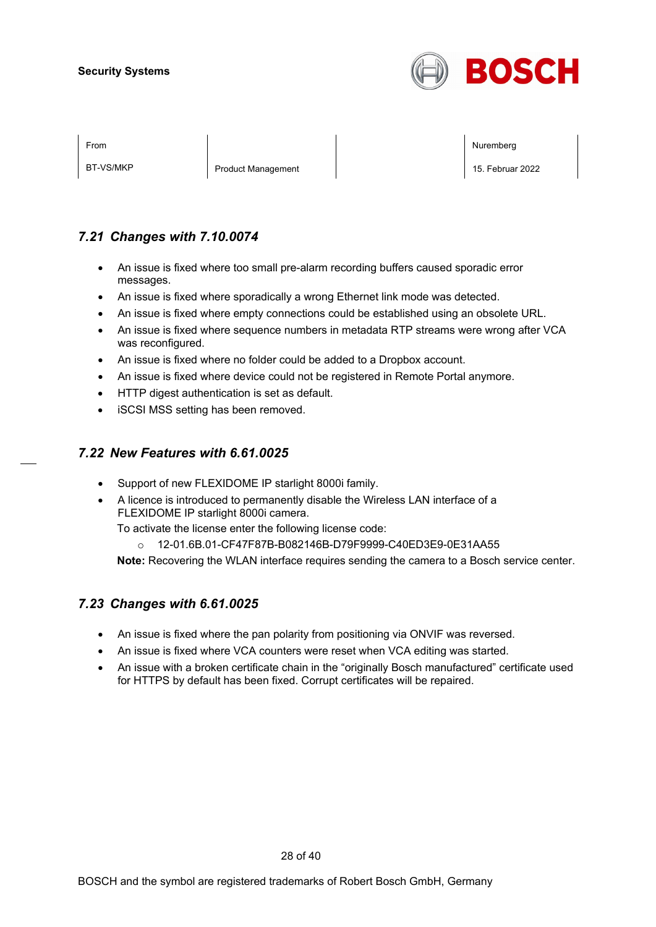

BT-VS/MKP **Product Management** 15. Februar 2022

From the second contract of the second contract of the second contract of the second contract of the second contract of the second contract of the second contract of the second contract of the second contract of the second

### *7.21 Changes with 7.10.0074*

- An issue is fixed where too small pre-alarm recording buffers caused sporadic error messages.
- An issue is fixed where sporadically a wrong Ethernet link mode was detected.
- An issue is fixed where empty connections could be established using an obsolete URL.
- An issue is fixed where sequence numbers in metadata RTP streams were wrong after VCA was reconfigured.
- An issue is fixed where no folder could be added to a Dropbox account.
- An issue is fixed where device could not be registered in Remote Portal anymore.
- HTTP digest authentication is set as default.
- iSCSI MSS setting has been removed.

### *7.22 New Features with 6.61.0025*

- Support of new FLEXIDOME IP starlight 8000i family.
- A licence is introduced to permanently disable the Wireless LAN interface of a FLEXIDOME IP starlight 8000i camera.

To activate the license enter the following license code:

o 12-01.6B.01-CF47F87B-B082146B-D79F9999-C40ED3E9-0E31AA55

**Note:** Recovering the WLAN interface requires sending the camera to a Bosch service center.

### *7.23 Changes with 6.61.0025*

- An issue is fixed where the pan polarity from positioning via ONVIF was reversed.
- An issue is fixed where VCA counters were reset when VCA editing was started.
- An issue with a broken certificate chain in the "originally Bosch manufactured" certificate used for HTTPS by default has been fixed. Corrupt certificates will be repaired.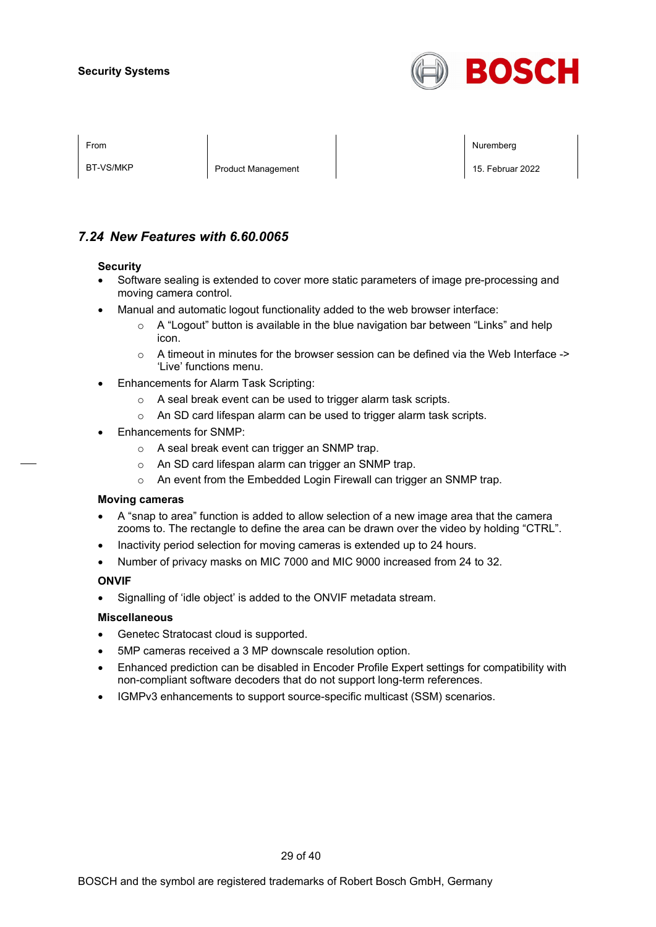

BT-VS/MKP **Product Management** 15. Februar 2022

From the second contract of the second contract of the second contract of the second contract of the second contract of the second contract of the second contract of the second contract of the second contract of the second

### *7.24 New Features with 6.60.0065*

#### **Security**

- Software sealing is extended to cover more static parameters of image pre-processing and moving camera control.
- Manual and automatic logout functionality added to the web browser interface:
	- $\circ$  A "Logout" button is available in the blue navigation bar between "Links" and help icon.
	- $\circ$  A timeout in minutes for the browser session can be defined via the Web Interface -> 'Live' functions menu.
- Enhancements for Alarm Task Scripting:
	- o A seal break event can be used to trigger alarm task scripts.
	- o An SD card lifespan alarm can be used to trigger alarm task scripts.
- Enhancements for SNMP:
	- o A seal break event can trigger an SNMP trap.
	- o An SD card lifespan alarm can trigger an SNMP trap.
	- o An event from the Embedded Login Firewall can trigger an SNMP trap.

#### **Moving cameras**

- A "snap to area" function is added to allow selection of a new image area that the camera zooms to. The rectangle to define the area can be drawn over the video by holding "CTRL".
- Inactivity period selection for moving cameras is extended up to 24 hours.
- Number of privacy masks on MIC 7000 and MIC 9000 increased from 24 to 32.

#### **ONVIF**

• Signalling of 'idle object' is added to the ONVIF metadata stream.

#### **Miscellaneous**

- Genetec Stratocast cloud is supported.
- 5MP cameras received a 3 MP downscale resolution option.
- Enhanced prediction can be disabled in Encoder Profile Expert settings for compatibility with non-compliant software decoders that do not support long-term references.
- IGMPv3 enhancements to support source-specific multicast (SSM) scenarios.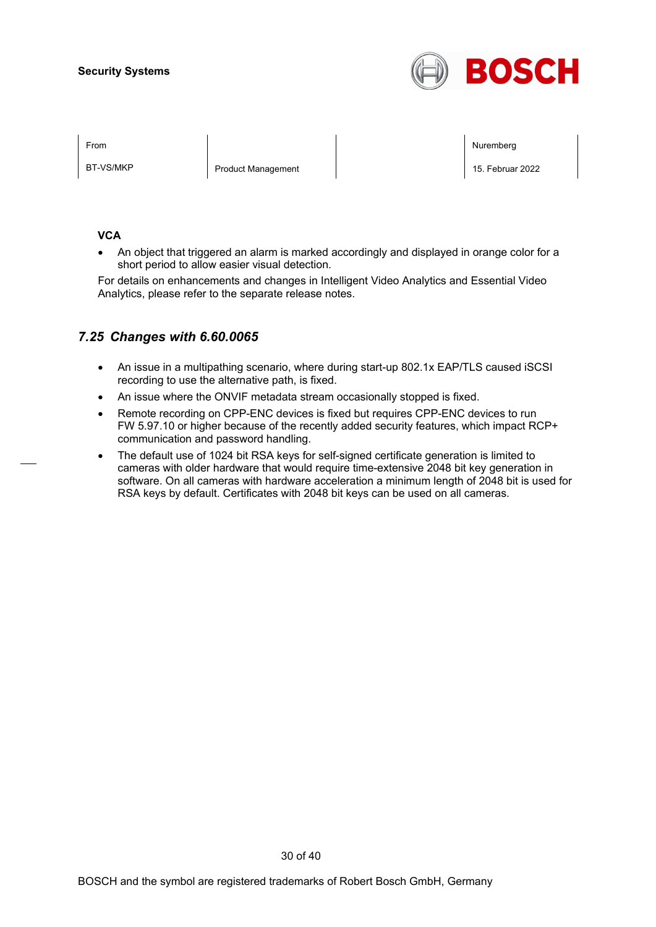

BT-VS/MKP Product Management 15. Februar 2022

From the second contract of the second contract of the second contract of the second contract of the second contract of the second contract of the second contract of the second contract of the second contract of the second

#### **VCA**

• An object that triggered an alarm is marked accordingly and displayed in orange color for a short period to allow easier visual detection.

For details on enhancements and changes in Intelligent Video Analytics and Essential Video Analytics, please refer to the separate release notes.

### *7.25 Changes with 6.60.0065*

- An issue in a multipathing scenario, where during start-up 802.1x EAP/TLS caused iSCSI recording to use the alternative path, is fixed.
- An issue where the ONVIF metadata stream occasionally stopped is fixed.
- Remote recording on CPP-ENC devices is fixed but requires CPP-ENC devices to run FW 5.97.10 or higher because of the recently added security features, which impact RCP+ communication and password handling.
- The default use of 1024 bit RSA keys for self-signed certificate generation is limited to cameras with older hardware that would require time-extensive 2048 bit key generation in software. On all cameras with hardware acceleration a minimum length of 2048 bit is used for RSA keys by default. Certificates with 2048 bit keys can be used on all cameras.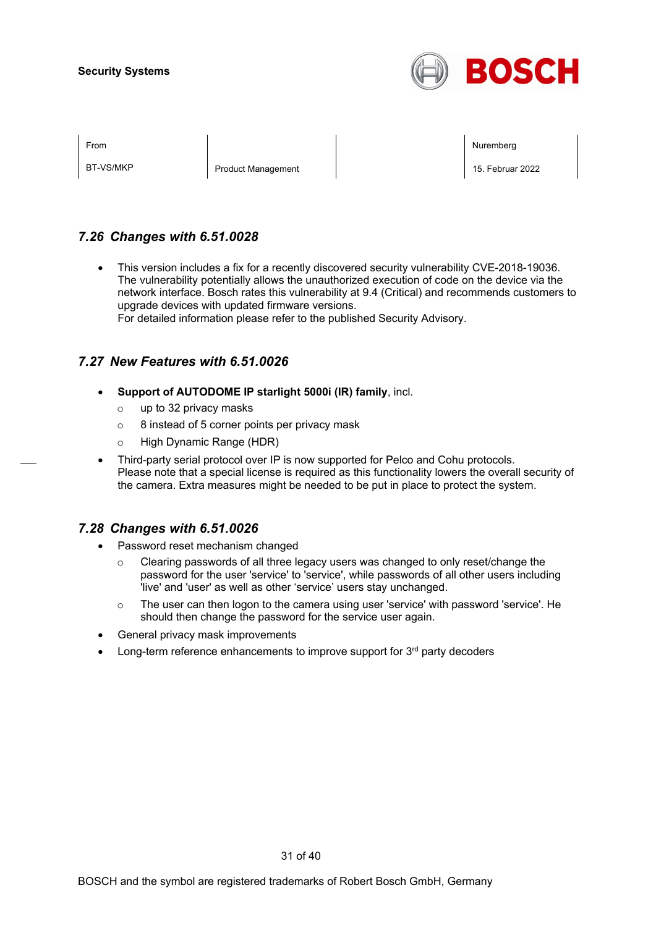

BT-VS/MKP **Product Management** 15. Februar 2022

From the second contract of the second contract of the second contract of the second contract of the second contract of the second contract of the second contract of the second contract of the second contract of the second

### *7.26 Changes with 6.51.0028*

• This version includes a fix for a recently discovered security vulnerability CVE-2018-19036. The vulnerability potentially allows the unauthorized execution of code on the device via the network interface. Bosch rates this vulnerability at 9.4 (Critical) and recommends customers to upgrade devices with updated firmware versions.

For detailed information please refer to the published Security Advisory.

### *7.27 New Features with 6.51.0026*

- **Support of AUTODOME IP starlight 5000i (IR) family**, incl.
	- o up to 32 privacy masks
	- $\circ$  8 instead of 5 corner points per privacy mask
	- o High Dynamic Range (HDR)
- Third-party serial protocol over IP is now supported for Pelco and Cohu protocols. Please note that a special license is required as this functionality lowers the overall security of the camera. Extra measures might be needed to be put in place to protect the system.

### *7.28 Changes with 6.51.0026*

- Password reset mechanism changed
	- $\circ$  Clearing passwords of all three legacy users was changed to only reset/change the password for the user 'service' to 'service', while passwords of all other users including 'live' and 'user' as well as other 'service' users stay unchanged.
	- $\circ$  The user can then logon to the camera using user 'service' with password 'service'. He should then change the password for the service user again.
- General privacy mask improvements
- Long-term reference enhancements to improve support for 3<sup>rd</sup> party decoders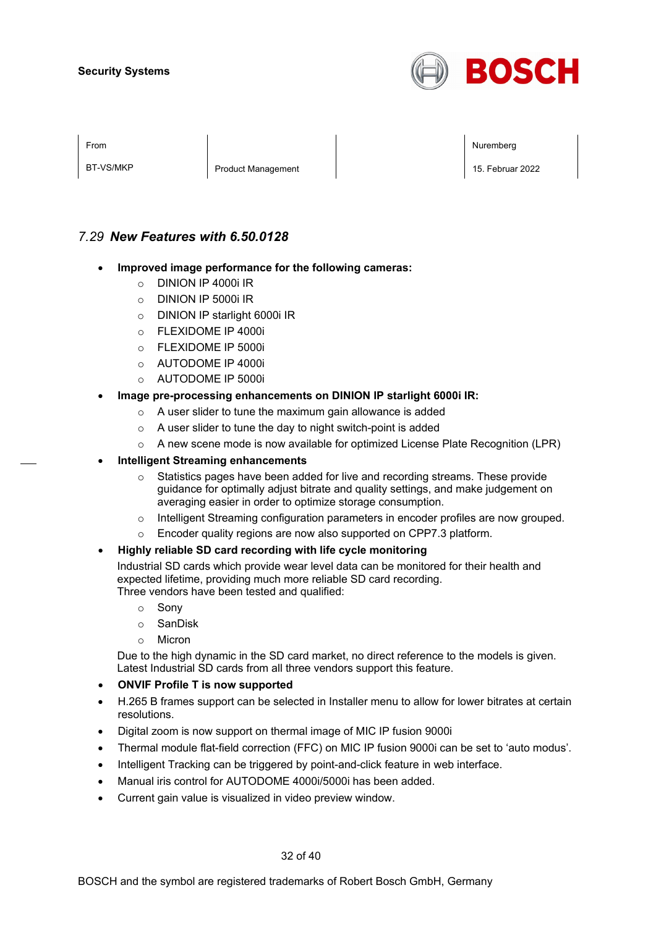

BT-VS/MKP **Product Management** 15. Februar 2022

From the second contract of the second contract of the second contract of the second contract of the second contract of the second contract of the second contract of the second contract of the second contract of the second

### *7.29 New Features with 6.50.0128*

- **Improved image performance for the following cameras:**
	- o DINION IP 4000i IR
	- o DINION IP 5000i IR
	- o DINION IP starlight 6000i IR
	- o FLEXIDOME IP 4000i
	- $\circ$  FLEXIDOME IP 5000i
	- o AUTODOME IP 4000i
	- o AUTODOME IP 5000i
- **Image pre-processing enhancements on DINION IP starlight 6000i IR:**
	- o A user slider to tune the maximum gain allowance is added
	- o A user slider to tune the day to night switch-point is added
	- $\circ$  A new scene mode is now available for optimized License Plate Recognition (LPR)
- **Intelligent Streaming enhancements**
	- o Statistics pages have been added for live and recording streams. These provide guidance for optimally adjust bitrate and quality settings, and make judgement on averaging easier in order to optimize storage consumption.
	- o Intelligent Streaming configuration parameters in encoder profiles are now grouped.
	- Encoder quality regions are now also supported on CPP7.3 platform.

#### • **Highly reliable SD card recording with life cycle monitoring**

Industrial SD cards which provide wear level data can be monitored for their health and expected lifetime, providing much more reliable SD card recording. Three vendors have been tested and qualified:

- o Sony
- o SanDisk
- o Micron

Due to the high dynamic in the SD card market, no direct reference to the models is given. Latest Industrial SD cards from all three vendors support this feature.

- **ONVIF Profile T is now supported**
- H.265 B frames support can be selected in Installer menu to allow for lower bitrates at certain resolutions.
- Digital zoom is now support on thermal image of MIC IP fusion 9000i
- Thermal module flat-field correction (FFC) on MIC IP fusion 9000i can be set to 'auto modus'.
- Intelligent Tracking can be triggered by point-and-click feature in web interface.
- Manual iris control for AUTODOME 4000i/5000i has been added.
- Current gain value is visualized in video preview window.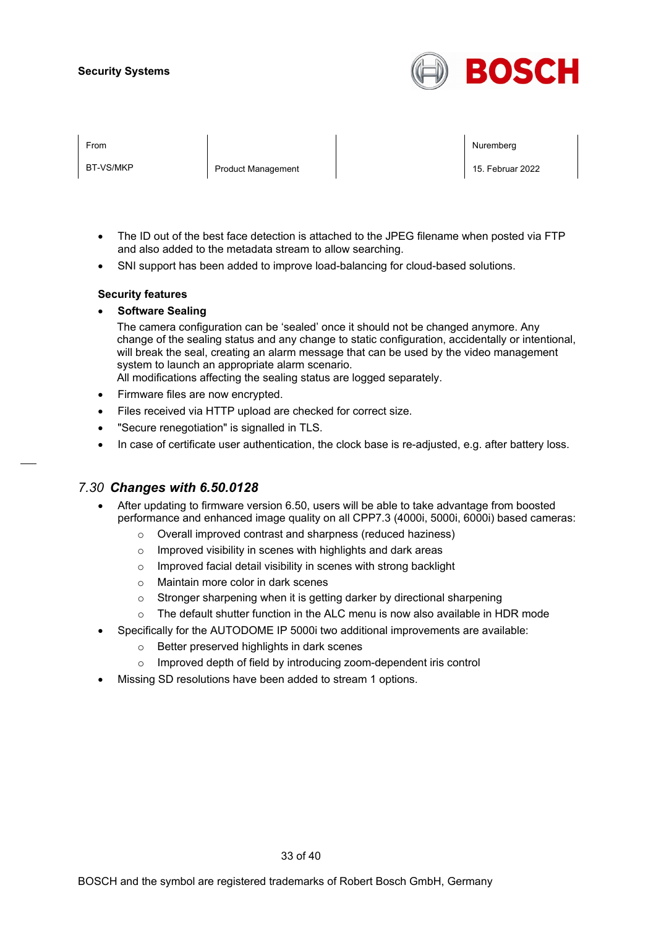

| <b>From</b> |  |
|-------------|--|
|             |  |

BT-VS/MKP **Product Management** 15. Februar 2022

From the second contract of the second contract of the second contract of the second contract of the second contract of the second contract of the second contract of the second contract of the second contract of the second

- The ID out of the best face detection is attached to the JPEG filename when posted via FTP and also added to the metadata stream to allow searching.
- SNI support has been added to improve load-balancing for cloud-based solutions.

#### **Security features**

• **Software Sealing**

The camera configuration can be 'sealed' once it should not be changed anymore. Any change of the sealing status and any change to static configuration, accidentally or intentional, will break the seal, creating an alarm message that can be used by the video management system to launch an appropriate alarm scenario.

All modifications affecting the sealing status are logged separately.

- Firmware files are now encrypted.
- Files received via HTTP upload are checked for correct size.
- "Secure renegotiation" is signalled in TLS.
- In case of certificate user authentication, the clock base is re-adjusted, e.g. after battery loss.

### *7.30 Changes with 6.50.0128*

- After updating to firmware version 6.50, users will be able to take advantage from boosted performance and enhanced image quality on all CPP7.3 (4000i, 5000i, 6000i) based cameras:
	- o Overall improved contrast and sharpness (reduced haziness)
	- o Improved visibility in scenes with highlights and dark areas
	- o Improved facial detail visibility in scenes with strong backlight
	- o Maintain more color in dark scenes
	- o Stronger sharpening when it is getting darker by directional sharpening
	- $\circ$  The default shutter function in the ALC menu is now also available in HDR mode
- Specifically for the AUTODOME IP 5000i two additional improvements are available:
	- o Better preserved highlights in dark scenes
	- o Improved depth of field by introducing zoom-dependent iris control
- Missing SD resolutions have been added to stream 1 options.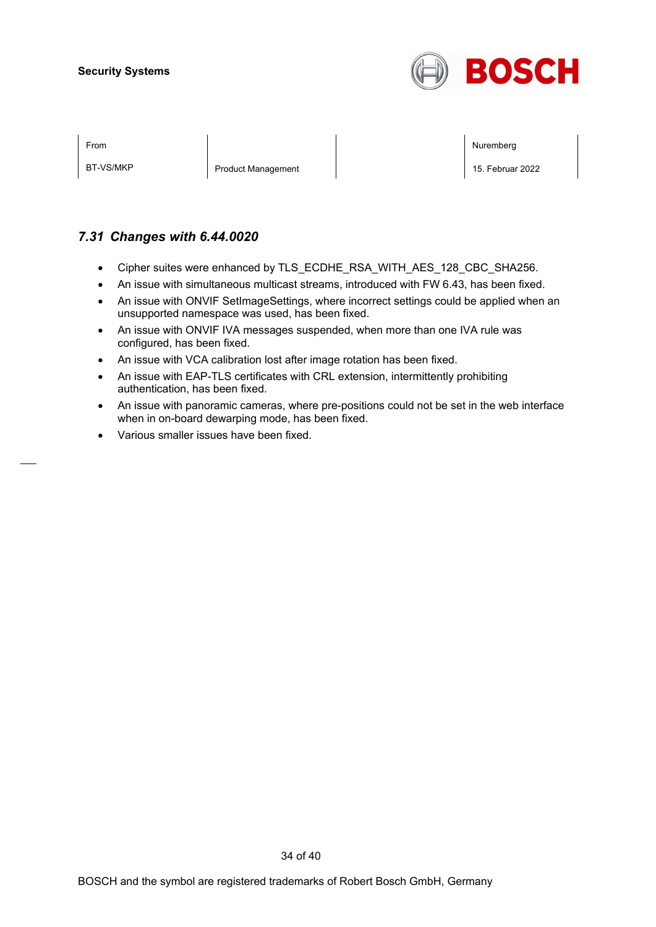

BT-VS/MKP Product Management 2022

From the second contract of the second contract of the second contract of the second contract of the second contract of the second contract of the second contract of the second contract of the second contract of the second

### *7.31 Changes with 6.44.0020*

- Cipher suites were enhanced by TLS\_ECDHE\_RSA\_WITH\_AES\_128\_CBC\_SHA256.
- An issue with simultaneous multicast streams, introduced with FW 6.43, has been fixed.
- An issue with ONVIF SetImageSettings, where incorrect settings could be applied when an unsupported namespace was used, has been fixed.
- An issue with ONVIF IVA messages suspended, when more than one IVA rule was configured, has been fixed.
- An issue with VCA calibration lost after image rotation has been fixed.
- An issue with EAP-TLS certificates with CRL extension, intermittently prohibiting authentication, has been fixed.
- An issue with panoramic cameras, where pre-positions could not be set in the web interface when in on-board dewarping mode, has been fixed.
- Various smaller issues have been fixed.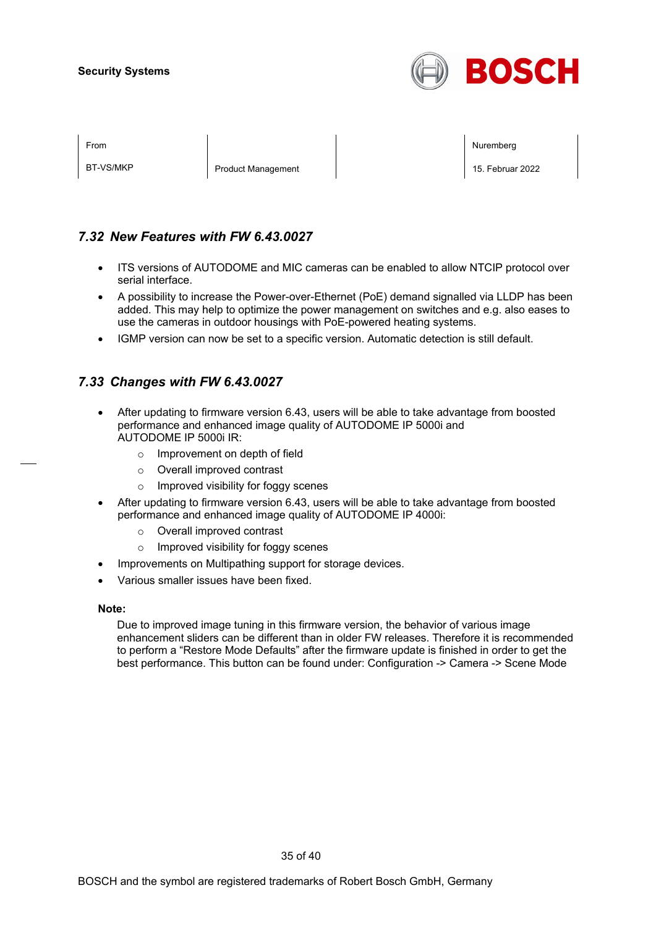

| FIUII |  |
|-------|--|
|       |  |
|       |  |

BT-VS/MKP **Product Management** 15. Februar 2022

From the second contract of the second contract of the second contract of the second contract of the second contract of the second contract of the second contract of the second contract of the second contract of the second

### *7.32 New Features with FW 6.43.0027*

- ITS versions of AUTODOME and MIC cameras can be enabled to allow NTCIP protocol over serial interface.
- A possibility to increase the Power-over-Ethernet (PoE) demand signalled via LLDP has been added. This may help to optimize the power management on switches and e.g. also eases to use the cameras in outdoor housings with PoE-powered heating systems.
- IGMP version can now be set to a specific version. Automatic detection is still default.

### *7.33 Changes with FW 6.43.0027*

- After updating to firmware version 6.43, users will be able to take advantage from boosted performance and enhanced image quality of AUTODOME IP 5000i and AUTODOME IP 5000i IR:
	- o Improvement on depth of field
	- o Overall improved contrast
	- o Improved visibility for foggy scenes
- After updating to firmware version 6.43, users will be able to take advantage from boosted performance and enhanced image quality of AUTODOME IP 4000i:
	- o Overall improved contrast
	- o Improved visibility for foggy scenes
- Improvements on Multipathing support for storage devices.
- Various smaller issues have been fixed.

#### **Note:**

Due to improved image tuning in this firmware version, the behavior of various image enhancement sliders can be different than in older FW releases. Therefore it is recommended to perform a "Restore Mode Defaults" after the firmware update is finished in order to get the best performance. This button can be found under: Configuration -> Camera -> Scene Mode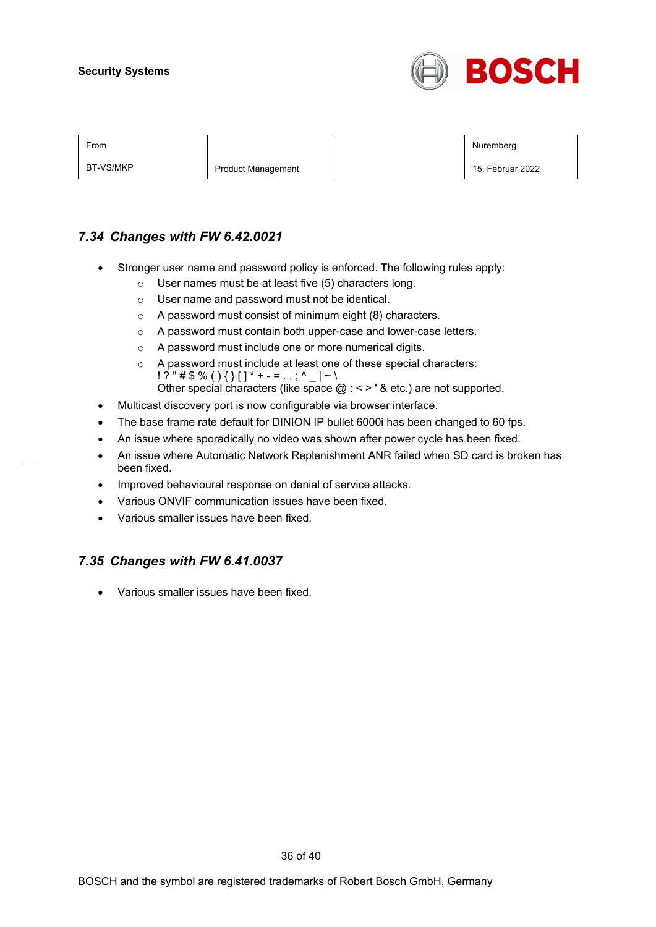

BT-VS/MKP **Product Management** 15. Februar 2022

From the second contract of the second contract of the second contract of the second contract of the second contract of the second contract of the second contract of the second contract of the second contract of the second

### *7.34 Changes with FW 6.42.0021*

- Stronger user name and password policy is enforced. The following rules apply:
	- o User names must be at least five (5) characters long.
	- o User name and password must not be identical.
	- o A password must consist of minimum eight (8) characters.
	- o A password must contain both upper-case and lower-case letters.
	- o A password must include one or more numerical digits.
	- o A password must include at least one of these special characters:  $! ? " \# \$ \% () \{ \} [ ] * + - = . , ; ^ {\wedge} \_ | \sim \backslash$ Other special characters (like space  $@:<>$  ' & etc.) are not supported.
- Multicast discovery port is now configurable via browser interface.
- The base frame rate default for DINION IP bullet 6000i has been changed to 60 fps.
- An issue where sporadically no video was shown after power cycle has been fixed.
- An issue where Automatic Network Replenishment ANR failed when SD card is broken has been fixed.
- Improved behavioural response on denial of service attacks.
- Various ONVIF communication issues have been fixed.
- Various smaller issues have been fixed.

### *7.35 Changes with FW 6.41.0037*

• Various smaller issues have been fixed.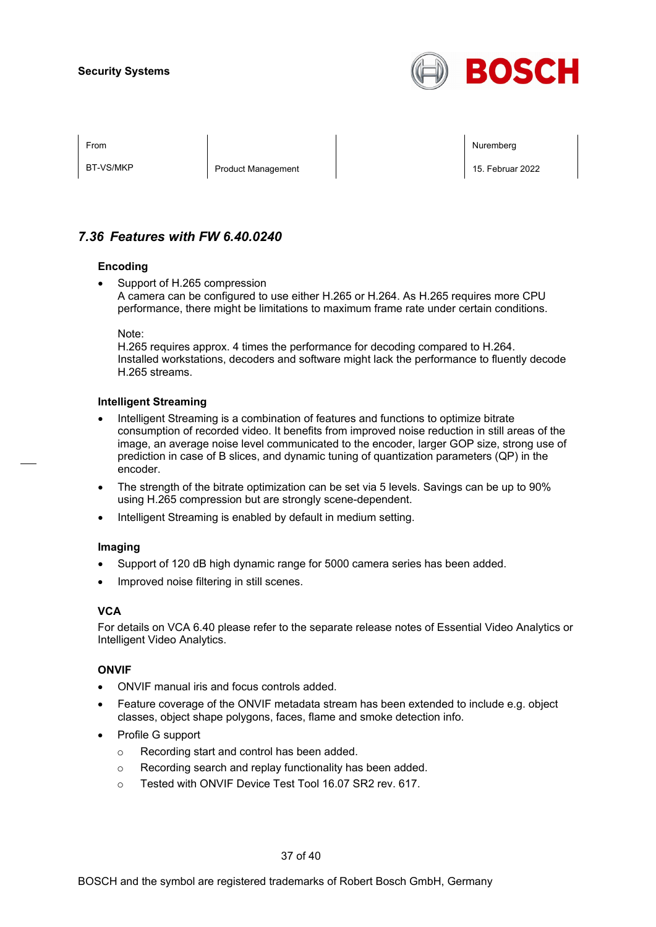

BT-VS/MKP **Product Management** 15. Februar 2022

From the second contract of the second contract of the second contract of the second contract of the second contract of the second contract of the second contract of the second contract of the second contract of the second

### *7.36 Features with FW 6.40.0240*

#### **Encoding**

Support of H.265 compression A camera can be configured to use either H.265 or H.264. As H.265 requires more CPU performance, there might be limitations to maximum frame rate under certain conditions.

Note:

H.265 requires approx. 4 times the performance for decoding compared to H.264. Installed workstations, decoders and software might lack the performance to fluently decode H.265 streams.

#### **Intelligent Streaming**

- Intelligent Streaming is a combination of features and functions to optimize bitrate consumption of recorded video. It benefits from improved noise reduction in still areas of the image, an average noise level communicated to the encoder, larger GOP size, strong use of prediction in case of B slices, and dynamic tuning of quantization parameters (QP) in the encoder.
- The strength of the bitrate optimization can be set via 5 levels. Savings can be up to 90% using H.265 compression but are strongly scene-dependent.
- Intelligent Streaming is enabled by default in medium setting.

#### **Imaging**

- Support of 120 dB high dynamic range for 5000 camera series has been added.
- Improved noise filtering in still scenes.

#### **VCA**

For details on VCA 6.40 please refer to the separate release notes of Essential Video Analytics or Intelligent Video Analytics.

#### **ONVIF**

- ONVIF manual iris and focus controls added.
- Feature coverage of the ONVIF metadata stream has been extended to include e.g. object classes, object shape polygons, faces, flame and smoke detection info.
- Profile G support
	- o Recording start and control has been added.
	- o Recording search and replay functionality has been added.
	- o Tested with ONVIF Device Test Tool 16.07 SR2 rev. 617.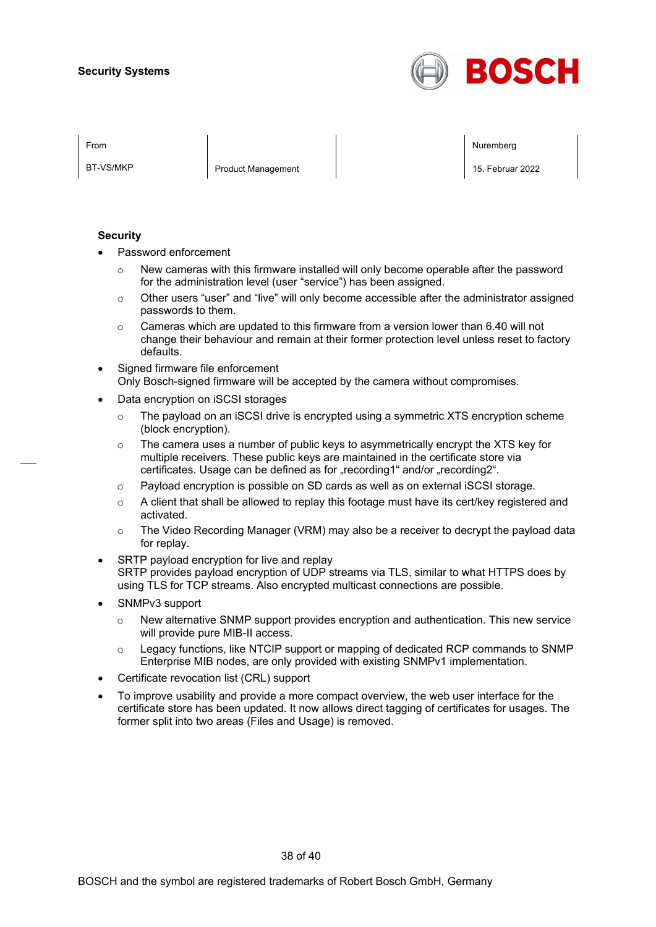

BT-VS/MKP **Product Management** 15. Februar 2022

From the second contract of the second contract of the second contract of the second contract of the second contract of the second contract of the second contract of the second contract of the second contract of the second

#### **Security**

- Password enforcement
	- $\circ$  New cameras with this firmware installed will only become operable after the password for the administration level (user "service") has been assigned.
	- $\circ$  Other users "user" and "live" will only become accessible after the administrator assigned passwords to them.
	- $\circ$  Cameras which are updated to this firmware from a version lower than 6.40 will not change their behaviour and remain at their former protection level unless reset to factory defaults.
- Signed firmware file enforcement Only Bosch-signed firmware will be accepted by the camera without compromises.
- Data encryption on iSCSI storages
	- $\circ$  The payload on an iSCSI drive is encrypted using a symmetric XTS encryption scheme (block encryption).
	- $\circ$  The camera uses a number of public keys to asymmetrically encrypt the XTS key for multiple receivers. These public keys are maintained in the certificate store via certificates. Usage can be defined as for "recording1" and/or "recording2".
	- o Payload encryption is possible on SD cards as well as on external iSCSI storage.
	- $\circ$  A client that shall be allowed to replay this footage must have its cert/key registered and activated.
	- $\circ$  The Video Recording Manager (VRM) may also be a receiver to decrypt the payload data for replay.
- SRTP payload encryption for live and replay SRTP provides payload encryption of UDP streams via TLS, similar to what HTTPS does by using TLS for TCP streams. Also encrypted multicast connections are possible.
- SNMPv3 support
	- $\circ$  New alternative SNMP support provides encryption and authentication. This new service will provide pure MIB-II access.
	- $\circ$  Legacy functions, like NTCIP support or mapping of dedicated RCP commands to SNMP Enterprise MIB nodes, are only provided with existing SNMPv1 implementation.
- Certificate revocation list (CRL) support
- To improve usability and provide a more compact overview, the web user interface for the certificate store has been updated. It now allows direct tagging of certificates for usages. The former split into two areas (Files and Usage) is removed.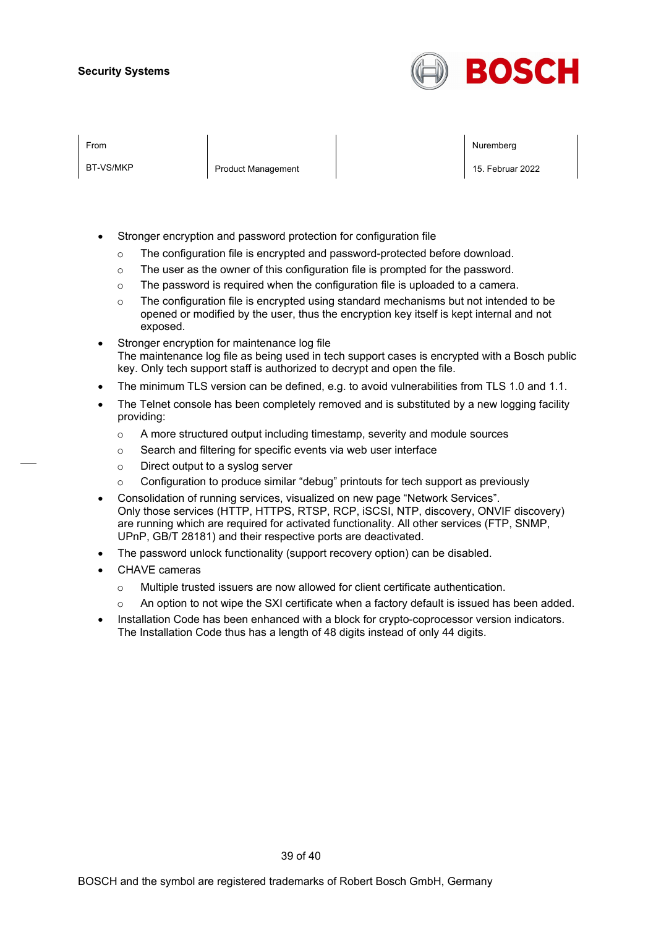

BT-VS/MKP **Product Management** 15. Februar 2022

From the second contract of the second contract of the second contract of the second contract of the second contract of the second contract of the second contract of the second contract of the second contract of the second

- Stronger encryption and password protection for configuration file
	- o The configuration file is encrypted and password-protected before download.
	- o The user as the owner of this configuration file is prompted for the password.
	- $\circ$  The password is required when the configuration file is uploaded to a camera.
	- $\circ$  The configuration file is encrypted using standard mechanisms but not intended to be opened or modified by the user, thus the encryption key itself is kept internal and not exposed.
- Stronger encryption for maintenance log file The maintenance log file as being used in tech support cases is encrypted with a Bosch public key. Only tech support staff is authorized to decrypt and open the file.
- The minimum TLS version can be defined, e.g. to avoid vulnerabilities from TLS 1.0 and 1.1.
- The Telnet console has been completely removed and is substituted by a new logging facility providing:
	- o A more structured output including timestamp, severity and module sources
	- o Search and filtering for specific events via web user interface
	- o Direct output to a syslog server
	- $\circ$  Configuration to produce similar "debug" printouts for tech support as previously
- Consolidation of running services, visualized on new page "Network Services". Only those services (HTTP, HTTPS, RTSP, RCP, iSCSI, NTP, discovery, ONVIF discovery) are running which are required for activated functionality. All other services (FTP, SNMP, UPnP, GB/T 28181) and their respective ports are deactivated.
- The password unlock functionality (support recovery option) can be disabled.
- CHAVE cameras
	- o Multiple trusted issuers are now allowed for client certificate authentication.
	- o An option to not wipe the SXI certificate when a factory default is issued has been added.
- Installation Code has been enhanced with a block for crypto-coprocessor version indicators. The Installation Code thus has a length of 48 digits instead of only 44 digits.